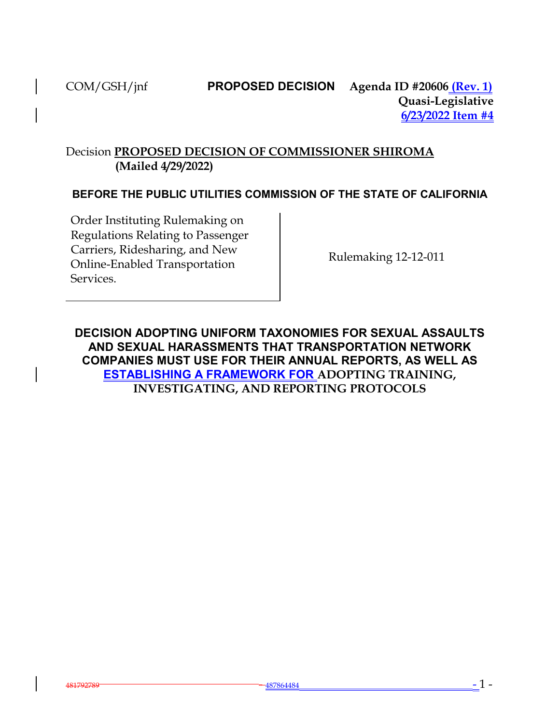**6/23/2022 Item #4**

# Decision **PROPOSED DECISION OF COMMISSIONER SHIROMA (Mailed 4/29/2022)**

# **BEFORE THE PUBLIC UTILITIES COMMISSION OF THE STATE OF CALIFORNIA**

Order Instituting Rulemaking on Regulations Relating to Passenger Carriers, Ridesharing, and New Online-Enabled Transportation Services.

Rulemaking 12-12-011

**DECISION ADOPTING UNIFORM TAXONOMIES FOR SEXUAL ASSAULTS AND SEXUAL HARASSMENTS THAT TRANSPORTATION NETWORK COMPANIES MUST USE FOR THEIR ANNUAL REPORTS, AS WELL AS ESTABLISHING A FRAMEWORK FOR ADOPTING TRAINING, INVESTIGATING, AND REPORTING PROTOCOLS**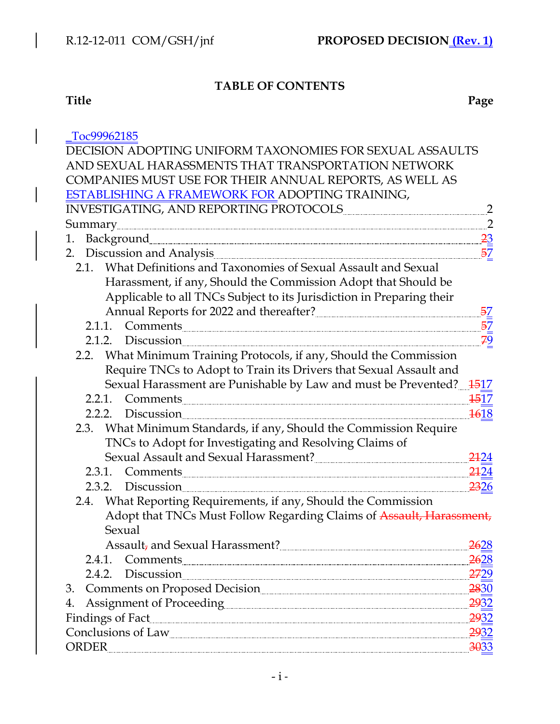# **TABLE OF CONTENTS**

### **Title Page**

 $\overline{\phantom{a}}$ 

 $\overline{\phantom{a}}$ 

 $\overline{\phantom{a}}$ 

# \_Toc99962185

| DECISION ADOPTING UNIFORM TAXONOMIES FOR SEXUAL ASSAULTS                                                                                                                                                                           |                  |
|------------------------------------------------------------------------------------------------------------------------------------------------------------------------------------------------------------------------------------|------------------|
| AND SEXUAL HARASSMENTS THAT TRANSPORTATION NETWORK                                                                                                                                                                                 |                  |
| COMPANIES MUST USE FOR THEIR ANNUAL REPORTS, AS WELL AS                                                                                                                                                                            |                  |
| ESTABLISHING A FRAMEWORK FOR ADOPTING TRAINING,                                                                                                                                                                                    |                  |
| INVESTIGATING, AND REPORTING PROTOCOLS                                                                                                                                                                                             | $\overline{2}$   |
|                                                                                                                                                                                                                                    |                  |
| 1.                                                                                                                                                                                                                                 | 23               |
| 2. Discussion and Analysis <u>Communications</u> and Constant Analysis and Analysis and Analysis and Analysis and Analysis and Analysis and Analysis and Analysis and Analysis and Analysis and Analysis and Analysis and Analysis | $5\frac{7}{2}$   |
| 2.1. What Definitions and Taxonomies of Sexual Assault and Sexual                                                                                                                                                                  |                  |
| Harassment, if any, Should the Commission Adopt that Should be                                                                                                                                                                     |                  |
| Applicable to all TNCs Subject to its Jurisdiction in Preparing their                                                                                                                                                              |                  |
| Annual Reports for 2022 and thereafter?                                                                                                                                                                                            |                  |
|                                                                                                                                                                                                                                    | $\frac{57}{2}$   |
| 2.1.2. Discussion                                                                                                                                                                                                                  | 79               |
| 2.2. What Minimum Training Protocols, if any, Should the Commission                                                                                                                                                                |                  |
| Require TNCs to Adopt to Train its Drivers that Sexual Assault and                                                                                                                                                                 |                  |
| Sexual Harassment are Punishable by Law and must be Prevented? <sup>1517</sup>                                                                                                                                                     |                  |
| 2.2.1. Comments                                                                                                                                                                                                                    | 1517             |
| 2.2.2. Discussion                                                                                                                                                                                                                  | 1618             |
| 2.3. What Minimum Standards, if any, Should the Commission Require                                                                                                                                                                 |                  |
| TNCs to Adopt for Investigating and Resolving Claims of                                                                                                                                                                            |                  |
| Sexual Assault and Sexual Harassment?                                                                                                                                                                                              | 2424             |
|                                                                                                                                                                                                                                    | 2124             |
| 2.3.2. Discussion                                                                                                                                                                                                                  | 2326             |
| 2.4. What Reporting Requirements, if any, Should the Commission                                                                                                                                                                    |                  |
| Adopt that TNCs Must Follow Regarding Claims of Assault, Harassment,                                                                                                                                                               |                  |
| Sexual                                                                                                                                                                                                                             |                  |
| Assault, and Sexual Harassment?                                                                                                                                                                                                    | <del>26</del> 28 |
| 2.4.1.<br>Comments                                                                                                                                                                                                                 | <u>2628</u>      |
| Discussion<br>2.4.2.                                                                                                                                                                                                               | <u>2729</u>      |
| Comments on Proposed Decision<br>3.                                                                                                                                                                                                | 2830             |
| 4.                                                                                                                                                                                                                                 | 2932             |
|                                                                                                                                                                                                                                    | 2932             |
| Conclusions of Law                                                                                                                                                                                                                 | 2932             |
| <b>ORDER</b>                                                                                                                                                                                                                       | 3033             |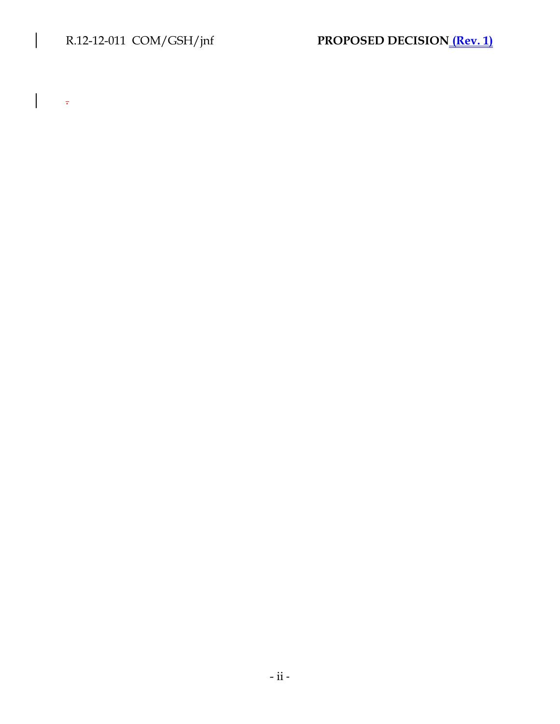$\begin{array}{c} \hline \end{array}$ 

 $\begin{array}{c} \hline \end{array}$ 

*.*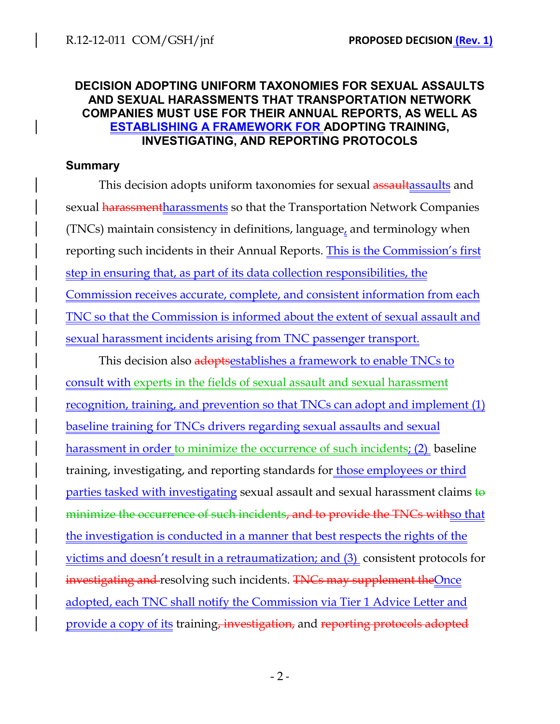## **DECISION ADOPTING UNIFORM TAXONOMIES FOR SEXUAL ASSAULTS AND SEXUAL HARASSMENTS THAT TRANSPORTATION NETWORK COMPANIES MUST USE FOR THEIR ANNUAL REPORTS, AS WELL AS ESTABLISHING A FRAMEWORK FOR ADOPTING TRAINING, INVESTIGATING, AND REPORTING PROTOCOLS**

### **Summary**

This decision adopts uniform taxonomies for sexual assaultassaults and sexual harassmentharassments so that the Transportation Network Companies (TNCs) maintain consistency in definitions, language, and terminology when reporting such incidents in their Annual Reports. This is the Commission's first step in ensuring that, as part of its data collection responsibilities, the Commission receives accurate, complete, and consistent information from each TNC so that the Commission is informed about the extent of sexual assault and sexual harassment incidents arising from TNC passenger transport.

This decision also adoptsestablishes a framework to enable TNCs to consult with experts in the fields of sexual assault and sexual harassment recognition, training, and prevention so that TNCs can adopt and implement (1) baseline training for TNCs drivers regarding sexual assaults and sexual harassment in order to minimize the occurrence of such incidents; (2) baseline training, investigating, and reporting standards for those employees or third parties tasked with investigating sexual assault and sexual harassment claims  $\frac{1}{6}$ minimize the occurrence of such incidents, and to provide the TNCs withso that the investigation is conducted in a manner that best respects the rights of the victims and doesn't result in a retraumatization; and (3) consistent protocols for investigating and resolving such incidents. TNCs may supplement theOnce adopted, each TNC shall notify the Commission via Tier 1 Advice Letter and provide a copy of its training, investigation, and reporting protocols adopted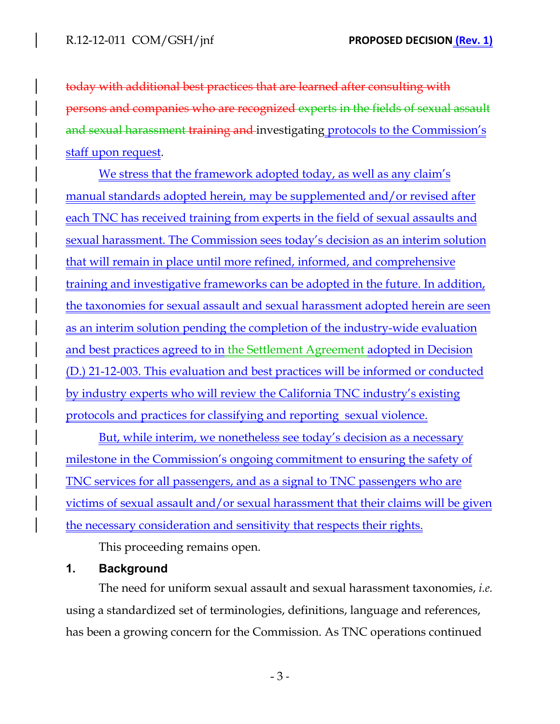today with additional best practices that are learned after consulting with persons and companies who are recognized experts in the fields of sexual assault and sexual harassment training and investigating protocols to the Commission's staff upon request.

We stress that the framework adopted today, as well as any claim's manual standards adopted herein, may be supplemented and/or revised after each TNC has received training from experts in the field of sexual assaults and sexual harassment. The Commission sees today's decision as an interim solution that will remain in place until more refined, informed, and comprehensive training and investigative frameworks can be adopted in the future. In addition, the taxonomies for sexual assault and sexual harassment adopted herein are seen as an interim solution pending the completion of the industry-wide evaluation and best practices agreed to in the Settlement Agreement adopted in Decision (D.) 21-12-003. This evaluation and best practices will be informed or conducted by industry experts who will review the California TNC industry's existing protocols and practices for classifying and reporting sexual violence.

But, while interim, we nonetheless see today's decision as a necessary milestone in the Commission's ongoing commitment to ensuring the safety of TNC services for all passengers, and as a signal to TNC passengers who are victims of sexual assault and/or sexual harassment that their claims will be given the necessary consideration and sensitivity that respects their rights.

This proceeding remains open.

### **1. Background**

The need for uniform sexual assault and sexual harassment taxonomies, *i.e.* using a standardized set of terminologies, definitions, language and references, has been a growing concern for the Commission. As TNC operations continued

- 3 -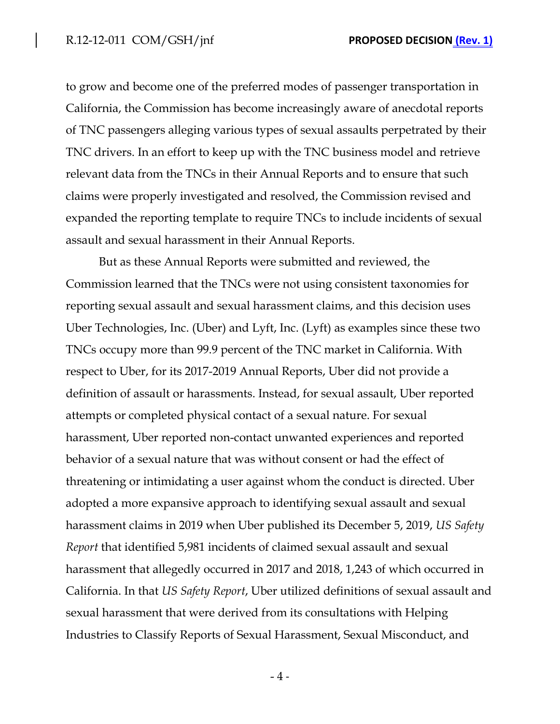to grow and become one of the preferred modes of passenger transportation in California, the Commission has become increasingly aware of anecdotal reports of TNC passengers alleging various types of sexual assaults perpetrated by their TNC drivers. In an effort to keep up with the TNC business model and retrieve relevant data from the TNCs in their Annual Reports and to ensure that such claims were properly investigated and resolved, the Commission revised and expanded the reporting template to require TNCs to include incidents of sexual assault and sexual harassment in their Annual Reports.

But as these Annual Reports were submitted and reviewed, the Commission learned that the TNCs were not using consistent taxonomies for reporting sexual assault and sexual harassment claims, and this decision uses Uber Technologies, Inc. (Uber) and Lyft, Inc. (Lyft) as examples since these two TNCs occupy more than 99.9 percent of the TNC market in California. With respect to Uber, for its 2017-2019 Annual Reports, Uber did not provide a definition of assault or harassments. Instead, for sexual assault, Uber reported attempts or completed physical contact of a sexual nature. For sexual harassment, Uber reported non-contact unwanted experiences and reported behavior of a sexual nature that was without consent or had the effect of threatening or intimidating a user against whom the conduct is directed. Uber adopted a more expansive approach to identifying sexual assault and sexual harassment claims in 2019 when Uber published its December 5, 2019, *US Safety Report* that identified 5,981 incidents of claimed sexual assault and sexual harassment that allegedly occurred in 2017 and 2018, 1,243 of which occurred in California. In that *US Safety Report*, Uber utilized definitions of sexual assault and sexual harassment that were derived from its consultations with Helping Industries to Classify Reports of Sexual Harassment, Sexual Misconduct, and

- 4 -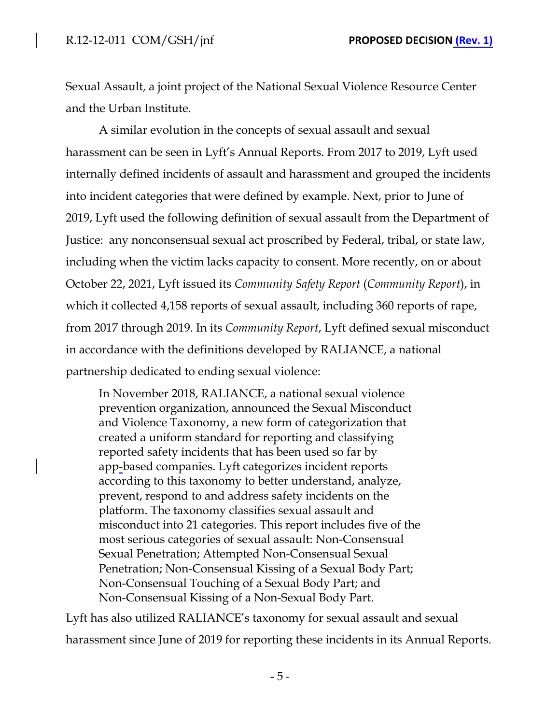Sexual Assault, a joint project of the National Sexual Violence Resource Center and the Urban Institute.

A similar evolution in the concepts of sexual assault and sexual harassment can be seen in Lyft's Annual Reports. From 2017 to 2019, Lyft used internally defined incidents of assault and harassment and grouped the incidents into incident categories that were defined by example. Next, prior to June of 2019, Lyft used the following definition of sexual assault from the Department of Justice: any nonconsensual sexual act proscribed by Federal, tribal, or state law, including when the victim lacks capacity to consent. More recently, on or about October 22, 2021, Lyft issued its *Community Safety Report* (*Community Report*), in which it collected 4,158 reports of sexual assault, including 360 reports of rape, from 2017 through 2019. In its *Community Report*, Lyft defined sexual misconduct in accordance with the definitions developed by RALIANCE, a national partnership dedicated to ending sexual violence:

In November 2018, RALIANCE, a national sexual violence prevention organization, announced the Sexual Misconduct and Violence Taxonomy, a new form of categorization that created a uniform standard for reporting and classifying reported safety incidents that has been used so far by app-based companies. Lyft categorizes incident reports according to this taxonomy to better understand, analyze, prevent, respond to and address safety incidents on the platform. The taxonomy classifies sexual assault and misconduct into 21 categories. This report includes five of the most serious categories of sexual assault: Non-Consensual Sexual Penetration; Attempted Non-Consensual Sexual Penetration; Non-Consensual Kissing of a Sexual Body Part; Non-Consensual Touching of a Sexual Body Part; and Non-Consensual Kissing of a Non-Sexual Body Part.

Lyft has also utilized RALIANCE's taxonomy for sexual assault and sexual harassment since June of 2019 for reporting these incidents in its Annual Reports.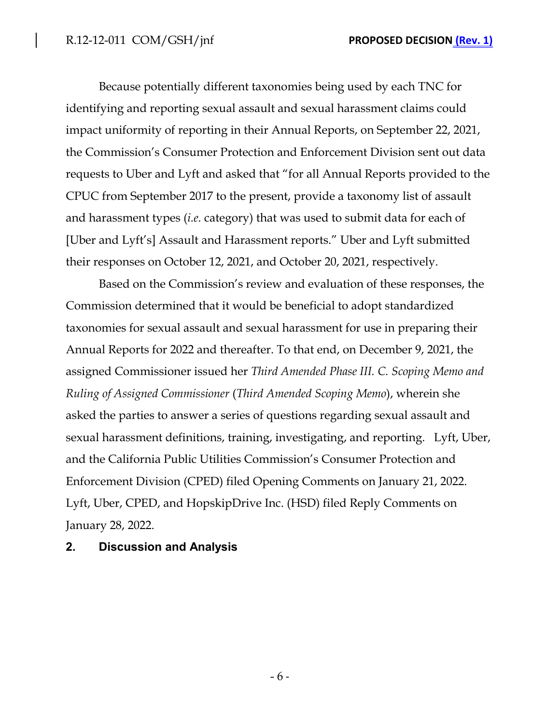Because potentially different taxonomies being used by each TNC for identifying and reporting sexual assault and sexual harassment claims could impact uniformity of reporting in their Annual Reports, on September 22, 2021, the Commission's Consumer Protection and Enforcement Division sent out data requests to Uber and Lyft and asked that "for all Annual Reports provided to the CPUC from September 2017 to the present, provide a taxonomy list of assault and harassment types (*i.e.* category) that was used to submit data for each of [Uber and Lyft's] Assault and Harassment reports." Uber and Lyft submitted their responses on October 12, 2021, and October 20, 2021, respectively.

Based on the Commission's review and evaluation of these responses, the Commission determined that it would be beneficial to adopt standardized taxonomies for sexual assault and sexual harassment for use in preparing their Annual Reports for 2022 and thereafter. To that end, on December 9, 2021, the assigned Commissioner issued her *Third Amended Phase III. C. Scoping Memo and Ruling of Assigned Commissioner* (*Third Amended Scoping Memo*), wherein she asked the parties to answer a series of questions regarding sexual assault and sexual harassment definitions, training, investigating, and reporting. Lyft, Uber, and the California Public Utilities Commission's Consumer Protection and Enforcement Division (CPED) filed Opening Comments on January 21, 2022. Lyft, Uber, CPED, and HopskipDrive Inc. (HSD) filed Reply Comments on January 28, 2022.

### **2. Discussion and Analysis**

- 6 -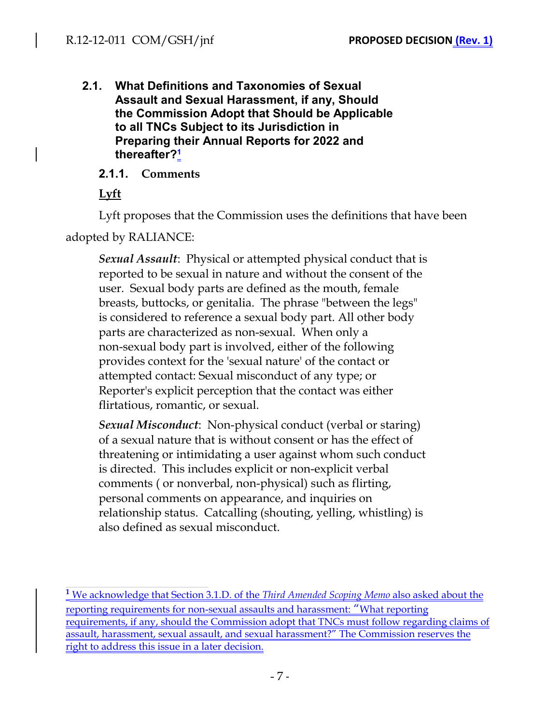**2.1. What Definitions and Taxonomies of Sexual Assault and Sexual Harassment, if any, Should the Commission Adopt that Should be Applicable to all TNCs Subject to its Jurisdiction in Preparing their Annual Reports for 2022 and thereafter?<sup>1</sup>**

**2.1.1. Comments**

**Lyft**

Lyft proposes that the Commission uses the definitions that have been

adopted by RALIANCE:

*Sexual Assault*: Physical or attempted physical conduct that is reported to be sexual in nature and without the consent of the user. Sexual body parts are defined as the mouth, female breasts, buttocks, or genitalia. The phrase "between the legs" is considered to reference a sexual body part. All other body parts are characterized as non-sexual. When only a non-sexual body part is involved, either of the following provides context for the 'sexual nature' of the contact or attempted contact: Sexual misconduct of any type; or Reporter's explicit perception that the contact was either flirtatious, romantic, or sexual.

*Sexual Misconduct*: Non-physical conduct (verbal or staring) of a sexual nature that is without consent or has the effect of threatening or intimidating a user against whom such conduct is directed. This includes explicit or non-explicit verbal comments ( or nonverbal, non-physical) such as flirting, personal comments on appearance, and inquiries on relationship status. Catcalling (shouting, yelling, whistling) is also defined as sexual misconduct.

**1** We acknowledge that Section 3.1.D. of the *Third Amended Scoping Memo* also asked about the reporting requirements for non-sexual assaults and harassment: "What reporting requirements, if any, should the Commission adopt that TNCs must follow regarding claims of assault, harassment, sexual assault, and sexual harassment?" The Commission reserves the right to address this issue in a later decision.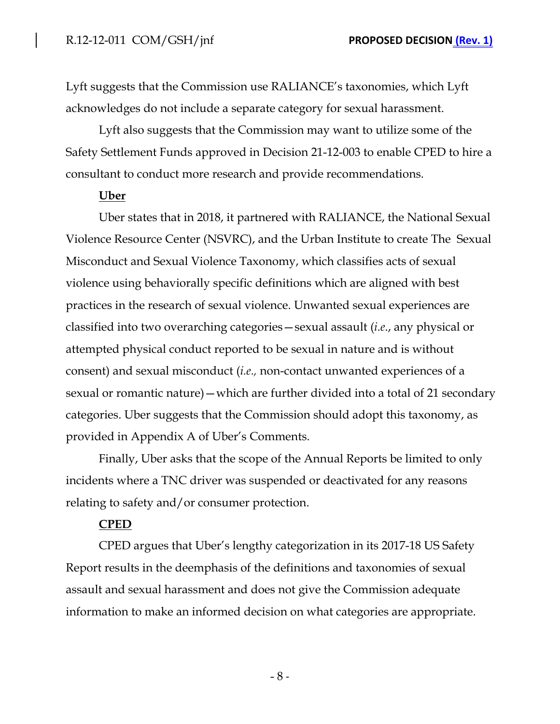Lyft suggests that the Commission use RALIANCE's taxonomies, which Lyft acknowledges do not include a separate category for sexual harassment.

Lyft also suggests that the Commission may want to utilize some of the Safety Settlement Funds approved in Decision 21-12-003 to enable CPED to hire a consultant to conduct more research and provide recommendations.

#### **Uber**

Uber states that in 2018, it partnered with RALIANCE, the National Sexual Violence Resource Center (NSVRC), and the Urban Institute to create The Sexual Misconduct and Sexual Violence Taxonomy, which classifies acts of sexual violence using behaviorally specific definitions which are aligned with best practices in the research of sexual violence. Unwanted sexual experiences are classified into two overarching categories—sexual assault (*i.e*., any physical or attempted physical conduct reported to be sexual in nature and is without consent) and sexual misconduct (*i.e.,* non-contact unwanted experiences of a sexual or romantic nature)—which are further divided into a total of 21 secondary categories. Uber suggests that the Commission should adopt this taxonomy, as provided in Appendix A of Uber's Comments.

Finally, Uber asks that the scope of the Annual Reports be limited to only incidents where a TNC driver was suspended or deactivated for any reasons relating to safety and/or consumer protection.

#### **CPED**

CPED argues that Uber's lengthy categorization in its 2017-18 US Safety Report results in the deemphasis of the definitions and taxonomies of sexual assault and sexual harassment and does not give the Commission adequate information to make an informed decision on what categories are appropriate.

- 8 -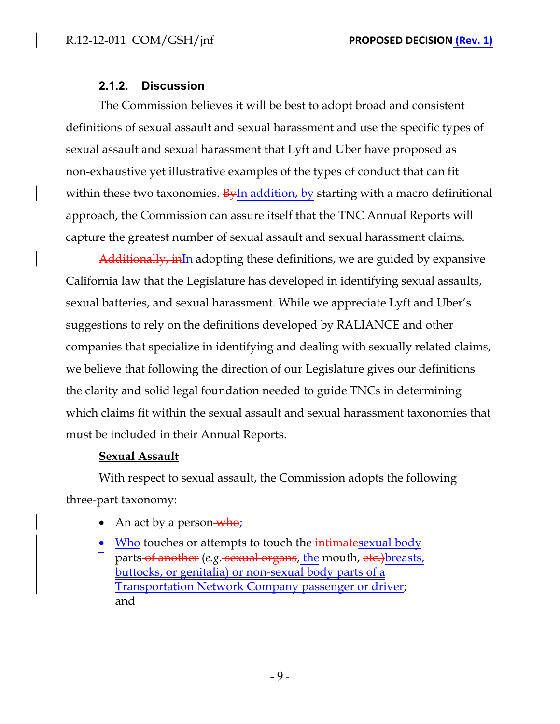### **2.1.2. Discussion**

The Commission believes it will be best to adopt broad and consistent definitions of sexual assault and sexual harassment and use the specific types of sexual assault and sexual harassment that Lyft and Uber have proposed as non-exhaustive yet illustrative examples of the types of conduct that can fit within these two taxonomies.  $ByIn addition, by starting with a macro definitional$ approach, the Commission can assure itself that the TNC Annual Reports will capture the greatest number of sexual assault and sexual harassment claims.

Additionally, inIn adopting these definitions, we are guided by expansive California law that the Legislature has developed in identifying sexual assaults, sexual batteries, and sexual harassment. While we appreciate Lyft and Uber's suggestions to rely on the definitions developed by RALIANCE and other companies that specialize in identifying and dealing with sexually related claims, we believe that following the direction of our Legislature gives our definitions the clarity and solid legal foundation needed to guide TNCs in determining which claims fit within the sexual assault and sexual harassment taxonomies that must be included in their Annual Reports.

#### **Sexual Assault**

With respect to sexual assault, the Commission adopts the following three-part taxonomy:

- An act by a person- $w$ ho;
- $\frac{\bullet}{\bullet}$  Who touches or attempts to touch the intimates exual body parts of another (*e.g.* sexual organs, the mouth, etc.) breasts, buttocks, or genitalia) or non-sexual body parts of a Transportation Network Company passenger or driver; and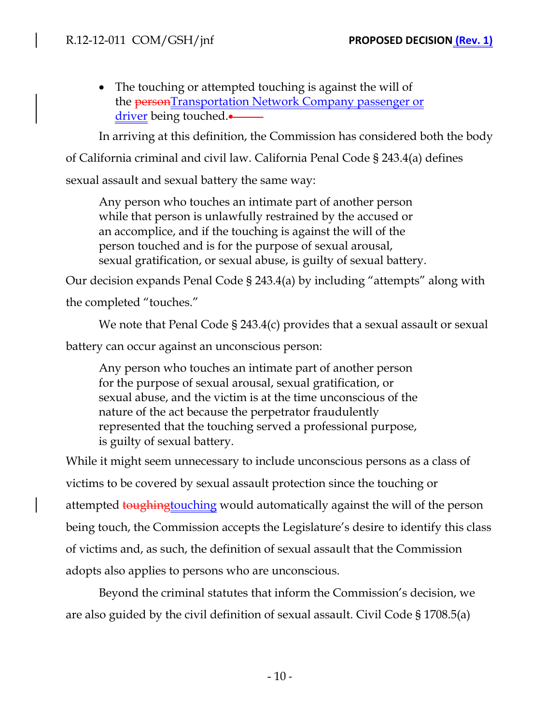• The touching or attempted touching is against the will of the **personTransportation Network Company passenger or** driver being touched.

In arriving at this definition, the Commission has considered both the body

of California criminal and civil law. California Penal Code § 243.4(a) defines

sexual assault and sexual battery the same way:

Any person who touches an intimate part of another person while that person is unlawfully restrained by the accused or an accomplice, and if the touching is against the will of the person touched and is for the purpose of sexual arousal, sexual gratification, or sexual abuse, is guilty of sexual battery.

Our decision expands Penal Code § 243.4(a) by including "attempts" along with the completed "touches."

We note that Penal Code § 243.4(c) provides that a sexual assault or sexual

battery can occur against an unconscious person:

Any person who touches an intimate part of another person for the purpose of sexual arousal, sexual gratification, or sexual abuse, and the victim is at the time unconscious of the nature of the act because the perpetrator fraudulently represented that the touching served a professional purpose, is guilty of sexual battery.

While it might seem unnecessary to include unconscious persons as a class of victims to be covered by sexual assault protection since the touching or attempted **toughingtouching** would automatically against the will of the person being touch, the Commission accepts the Legislature's desire to identify this class of victims and, as such, the definition of sexual assault that the Commission adopts also applies to persons who are unconscious.

Beyond the criminal statutes that inform the Commission's decision, we are also guided by the civil definition of sexual assault. Civil Code § 1708.5(a)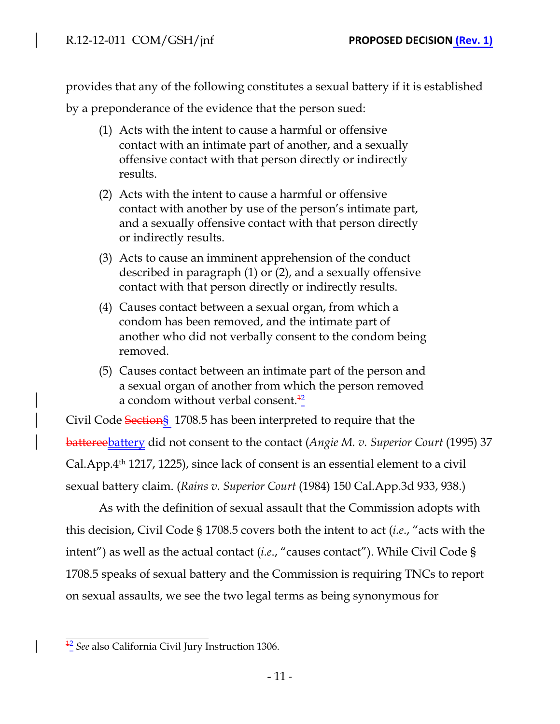provides that any of the following constitutes a sexual battery if it is established

by a preponderance of the evidence that the person sued:

- (1) Acts with the intent to cause a harmful or offensive contact with an intimate part of another, and a sexually offensive contact with that person directly or indirectly results.
- (2) Acts with the intent to cause a harmful or offensive contact with another by use of the person's intimate part, and a sexually offensive contact with that person directly or indirectly results.
- (3) Acts to cause an imminent apprehension of the conduct described in paragraph (1) or (2), and a sexually offensive contact with that person directly or indirectly results.
- (4) Causes contact between a sexual organ, from which a condom has been removed, and the intimate part of another who did not verbally consent to the condom being removed.
- (5) Causes contact between an intimate part of the person and a sexual organ of another from which the person removed a condom without verbal consent. $\frac{12}{2}$

Civil Code Section<sup>§</sup> 1708.5 has been interpreted to require that the battereebattery did not consent to the contact (*Angie M. v. Superior Court* (1995) 37 Cal.App.4th 1217, 1225), since lack of consent is an essential element to a civil sexual battery claim. (*Rains v. Superior Court* (1984) 150 Cal.App.3d 933, 938.)

As with the definition of sexual assault that the Commission adopts with this decision, Civil Code § 1708.5 covers both the intent to act (*i.e*., "acts with the intent") as well as the actual contact (*i.e*., "causes contact"). While Civil Code § 1708.5 speaks of sexual battery and the Commission is requiring TNCs to report on sexual assaults, we see the two legal terms as being synonymous for

<sup>&</sup>lt;sup>12</sup> *See* also California Civil Jury Instruction 1306.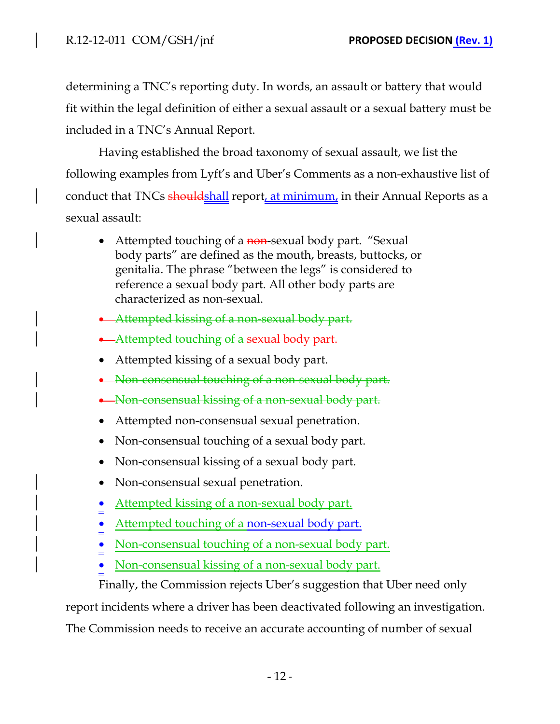determining a TNC's reporting duty. In words, an assault or battery that would fit within the legal definition of either a sexual assault or a sexual battery must be included in a TNC's Annual Report.

Having established the broad taxonomy of sexual assault, we list the following examples from Lyft's and Uber's Comments as a non-exhaustive list of conduct that TNCs shouldshall report, at minimum, in their Annual Reports as a sexual assault:

- Attempted touching of a non-sexual body part. "Sexual body parts" are defined as the mouth, breasts, buttocks, or genitalia. The phrase "between the legs" is considered to reference a sexual body part. All other body parts are characterized as non-sexual.
- Attempted kissing of a non-sexual body part.
- Attempted touching of a sexual body part.
- Attempted kissing of a sexual body part.
- Non-consensual touching of a non-sexual body part.
- Non-consensual kissing of a non-sexual body part.
- Attempted non-consensual sexual penetration.
- Non-consensual touching of a sexual body part.
- Non-consensual kissing of a sexual body part.
- Non-consensual sexual penetration.
- Attempted kissing of a non-sexual body part.
- Attempted touching of a non-sexual body part.
- Non-consensual touching of a non-sexual body part.
- Non-consensual kissing of a non-sexual body part.

Finally, the Commission rejects Uber's suggestion that Uber need only report incidents where a driver has been deactivated following an investigation. The Commission needs to receive an accurate accounting of number of sexual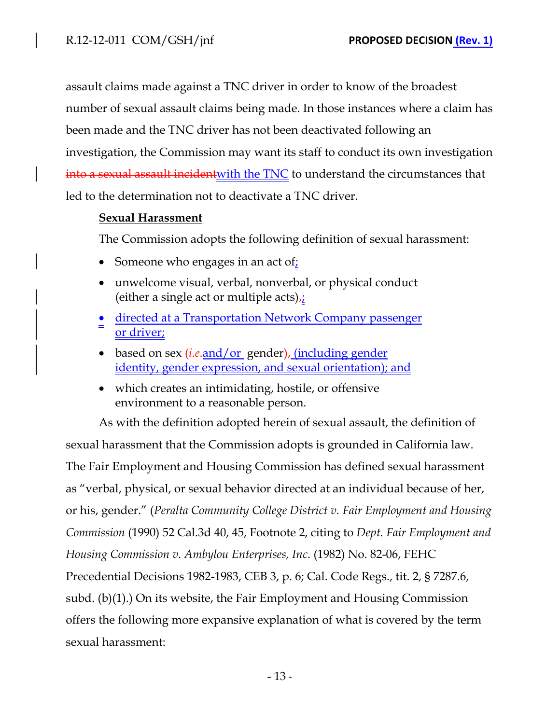assault claims made against a TNC driver in order to know of the broadest number of sexual assault claims being made. In those instances where a claim has been made and the TNC driver has not been deactivated following an investigation, the Commission may want its staff to conduct its own investigation into a sexual assault incident with the TNC to understand the circumstances that led to the determination not to deactivate a TNC driver.

# **Sexual Harassment**

The Commission adopts the following definition of sexual harassment:

- Someone who engages in an act of  $\chi$
- unwelcome visual, verbal, nonverbal, or physical conduct (either a single act or multiple acts) $\overline{z}$
- directed at a Transportation Network Company passenger or driver;
- based on sex  $(i.e., and/or gender)$ , (including gender identity, gender expression, and sexual orientation); and
- which creates an intimidating, hostile, or offensive environment to a reasonable person.

As with the definition adopted herein of sexual assault, the definition of sexual harassment that the Commission adopts is grounded in California law. The Fair Employment and Housing Commission has defined sexual harassment as "verbal, physical, or sexual behavior directed at an individual because of her, or his, gender." (*Peralta Community College District v. Fair Employment and Housing Commission* (1990) 52 Cal.3d 40, 45, Footnote 2, citing to *Dept. Fair Employment and Housing Commission v. Ambylou Enterprises, Inc*. (1982) No. 82-06, FEHC Precedential Decisions 1982-1983, CEB 3, p. 6; Cal. Code Regs., tit. 2, § 7287.6, subd. (b)(1).) On its website, the Fair Employment and Housing Commission offers the following more expansive explanation of what is covered by the term sexual harassment: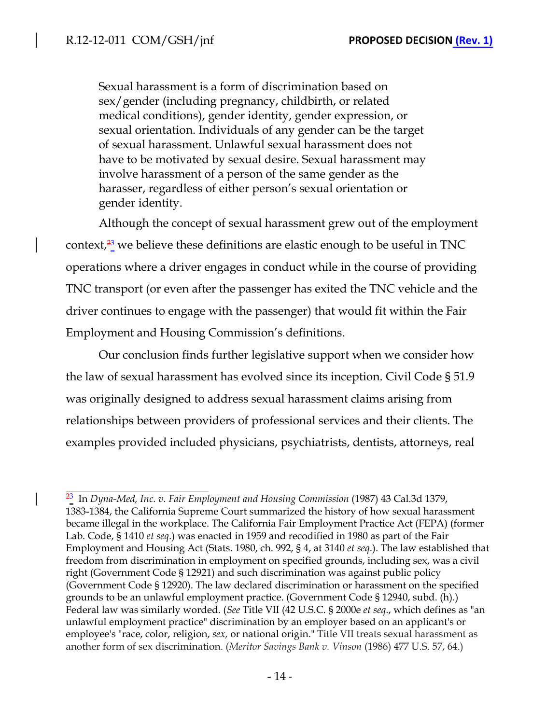Sexual harassment is a form of discrimination based on sex/gender (including pregnancy, childbirth, or related medical conditions), gender identity, gender expression, or sexual orientation. Individuals of any gender can be the target of sexual harassment. Unlawful sexual harassment does not have to be motivated by sexual desire. Sexual harassment may involve harassment of a person of the same gender as the harasser, regardless of either person's sexual orientation or gender identity.

Although the concept of sexual harassment grew out of the employment context, $^{23}_{-}$  we believe these definitions are elastic enough to be useful in TNC operations where a driver engages in conduct while in the course of providing TNC transport (or even after the passenger has exited the TNC vehicle and the driver continues to engage with the passenger) that would fit within the Fair Employment and Housing Commission's definitions.

Our conclusion finds further legislative support when we consider how the law of sexual harassment has evolved since its inception. Civil Code § 51.9 was originally designed to address sexual harassment claims arising from relationships between providers of professional services and their clients. The examples provided included physicians, psychiatrists, dentists, attorneys, real

<sup>23</sup> In *Dyna-Med, Inc. v. Fair Employment and Housing Commission* (1987) 43 Cal.3d 1379, 1383-1384, the California Supreme Court summarized the history of how sexual harassment became illegal in the workplace. The California Fair Employment Practice Act (FEPA) (former Lab. Code, § 1410 *et seq*.) was enacted in 1959 and recodified in 1980 as part of the Fair Employment and Housing Act (Stats. 1980, ch. 992, § 4, at 3140 *et seq*.). The law established that freedom from discrimination in employment on specified grounds, including sex, was a civil right (Government Code § 12921) and such discrimination was against public policy (Government Code § 12920). The law declared discrimination or harassment on the specified grounds to be an unlawful employment practice. (Government Code § 12940, subd. (h).) Federal law was similarly worded. (*See* Title VII (42 U.S.C. § 2000e *et seq*., which defines as "an unlawful employment practice" discrimination by an employer based on an applicant's or employee's "race, color, religion, *sex,* or national origin." Title VII treats sexual harassment as another form of sex discrimination. (*Meritor Savings Bank v. Vinson* (1986) 477 U.S. 57, 64.)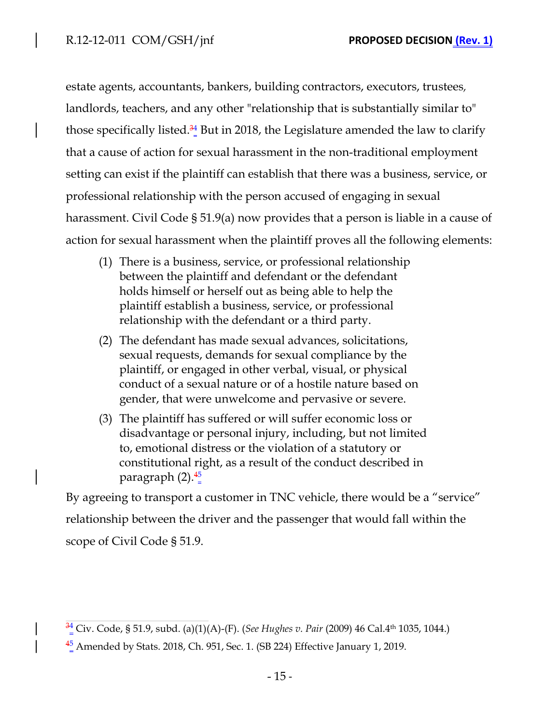estate agents, accountants, bankers, building contractors, executors, trustees*,* landlords, teachers, and any other "relationship that is substantially similar to" those specifically listed. $34 \overline{4}$  But in 2018, the Legislature amended the law to clarify that a cause of action for sexual harassment in the non-traditional employment setting can exist if the plaintiff can establish that there was a business, service, or professional relationship with the person accused of engaging in sexual harassment. Civil Code § 51.9(a) now provides that a person is liable in a cause of action for sexual harassment when the plaintiff proves all the following elements:

- (1) There is a business, service, or professional relationship between the plaintiff and defendant or the defendant holds himself or herself out as being able to help the plaintiff establish a business, service, or professional relationship with the defendant or a third party.
- (2) The defendant has made sexual advances, solicitations, sexual requests, demands for sexual compliance by the plaintiff, or engaged in other verbal, visual, or physical conduct of a sexual nature or of a hostile nature based on gender, that were unwelcome and pervasive or severe.
- (3) The plaintiff has suffered or will suffer economic loss or disadvantage or personal injury, including, but not limited to, emotional distress or the violation of a statutory or constitutional right, as a result of the conduct described in paragraph  $(2).45$

By agreeing to transport a customer in TNC vehicle, there would be a "service" relationship between the driver and the passenger that would fall within the scope of Civil Code § 51.9.

<sup>34</sup> Civ. Code, § 51.9, subd. (a)(1)(A)-(F). (*See Hughes v. Pair* (2009) 46 Cal.4th 1035, 1044.)

 $\frac{45}{5}$  Amended by Stats. 2018, Ch. 951, Sec. 1. (SB 224) Effective January 1, 2019.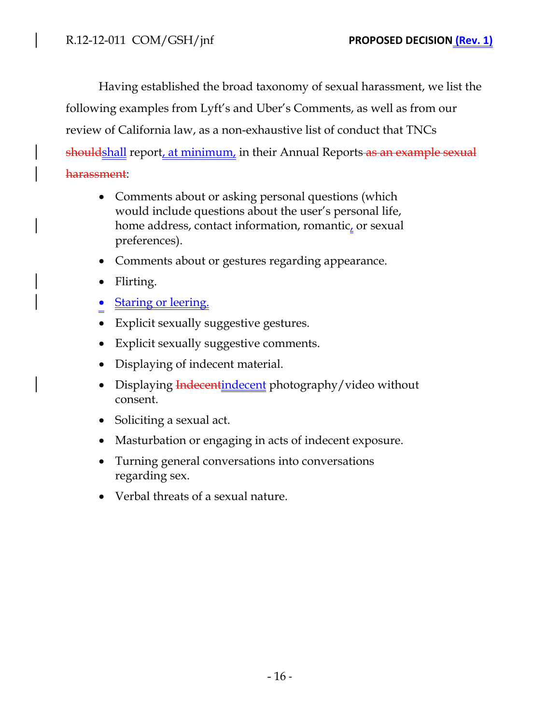Having established the broad taxonomy of sexual harassment, we list the following examples from Lyft's and Uber's Comments, as well as from our review of California law, as a non-exhaustive list of conduct that TNCs shouldshall report, at minimum, in their Annual Reports as an example sexual harassment:

- Comments about or asking personal questions (which would include questions about the user's personal life, home address, contact information, romantic, or sexual preferences).
- Comments about or gestures regarding appearance.
- Flirting.
- Staring or leering.
- Explicit sexually suggestive gestures.
- Explicit sexually suggestive comments.
- Displaying of indecent material.
- Displaying Indecentindecent photography/video without consent.
- Soliciting a sexual act.
- Masturbation or engaging in acts of indecent exposure.
- Turning general conversations into conversations regarding sex.
- Verbal threats of a sexual nature.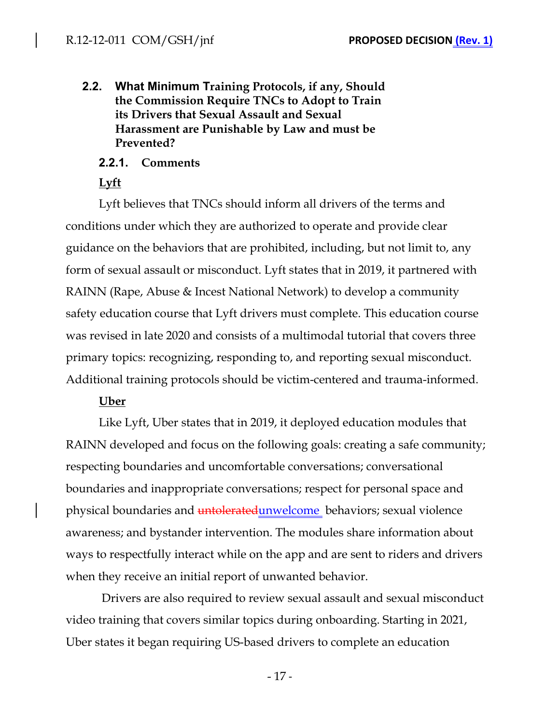**2.2. What Minimum Training Protocols, if any, Should the Commission Require TNCs to Adopt to Train its Drivers that Sexual Assault and Sexual Harassment are Punishable by Law and must be Prevented?**

### **2.2.1. Comments**

### **Lyft**

Lyft believes that TNCs should inform all drivers of the terms and conditions under which they are authorized to operate and provide clear guidance on the behaviors that are prohibited, including, but not limit to, any form of sexual assault or misconduct. Lyft states that in 2019, it partnered with RAINN (Rape, Abuse & Incest National Network) to develop a community safety education course that Lyft drivers must complete. This education course was revised in late 2020 and consists of a multimodal tutorial that covers three primary topics: recognizing, responding to, and reporting sexual misconduct. Additional training protocols should be victim-centered and trauma-informed.

#### **Uber**

Like Lyft, Uber states that in 2019, it deployed education modules that RAINN developed and focus on the following goals: creating a safe community; respecting boundaries and uncomfortable conversations; conversational boundaries and inappropriate conversations; respect for personal space and physical boundaries and *untoleratedunwelcome* behaviors; sexual violence awareness; and bystander intervention. The modules share information about ways to respectfully interact while on the app and are sent to riders and drivers when they receive an initial report of unwanted behavior.

 Drivers are also required to review sexual assault and sexual misconduct video training that covers similar topics during onboarding. Starting in 2021, Uber states it began requiring US-based drivers to complete an education

- 17 -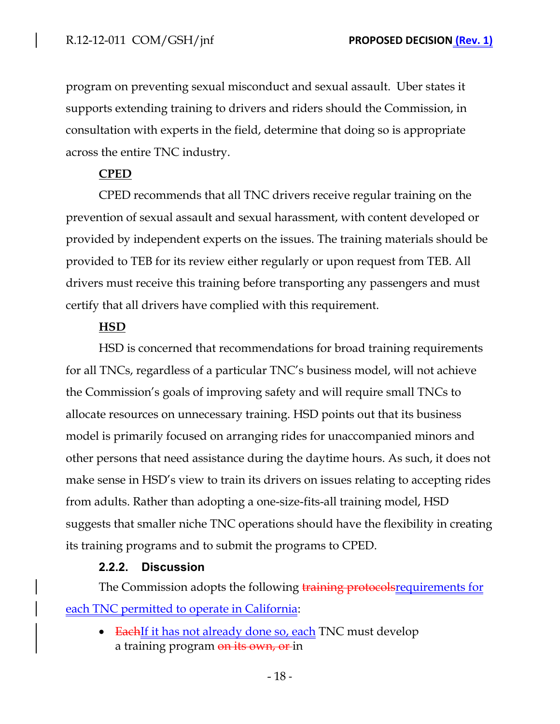program on preventing sexual misconduct and sexual assault. Uber states it supports extending training to drivers and riders should the Commission, in consultation with experts in the field, determine that doing so is appropriate across the entire TNC industry.

#### **CPED**

CPED recommends that all TNC drivers receive regular training on the prevention of sexual assault and sexual harassment, with content developed or provided by independent experts on the issues. The training materials should be provided to TEB for its review either regularly or upon request from TEB. All drivers must receive this training before transporting any passengers and must certify that all drivers have complied with this requirement.

#### **HSD**

HSD is concerned that recommendations for broad training requirements for all TNCs, regardless of a particular TNC's business model, will not achieve the Commission's goals of improving safety and will require small TNCs to allocate resources on unnecessary training. HSD points out that its business model is primarily focused on arranging rides for unaccompanied minors and other persons that need assistance during the daytime hours. As such, it does not make sense in HSD's view to train its drivers on issues relating to accepting rides from adults. Rather than adopting a one-size-fits-all training model, HSD suggests that smaller niche TNC operations should have the flexibility in creating its training programs and to submit the programs to CPED.

#### **2.2.2. Discussion**

The Commission adopts the following training protocols requirements for each TNC permitted to operate in California:

• EachIf it has not already done so, each TNC must develop a training program on its own, or in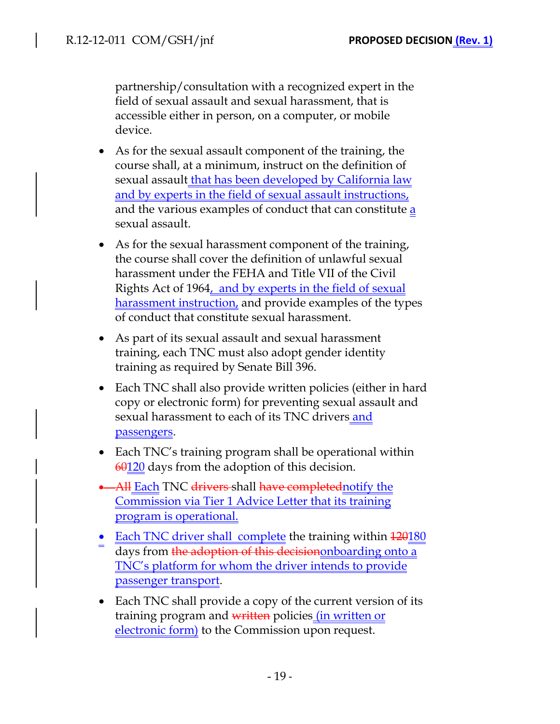partnership/consultation with a recognized expert in the field of sexual assault and sexual harassment, that is accessible either in person, on a computer, or mobile device.

- As for the sexual assault component of the training, the course shall, at a minimum, instruct on the definition of sexual assault that has been developed by California law and by experts in the field of sexual assault instructions, and the various examples of conduct that can constitute <u>a</u> sexual assault.
- As for the sexual harassment component of the training, the course shall cover the definition of unlawful sexual harassment under the FEHA and Title VII of the Civil Rights Act of 1964, and by experts in the field of sexual harassment instruction, and provide examples of the types of conduct that constitute sexual harassment.
- As part of its sexual assault and sexual harassment training, each TNC must also adopt gender identity training as required by Senate Bill 396.
- Each TNC shall also provide written policies (either in hard copy or electronic form) for preventing sexual assault and sexual harassment to each of its TNC drivers and passengers.
- Each TNC's training program shall be operational within  $60120$  days from the adoption of this decision.
- All Each TNC drivers shall have completednotify the Commission via Tier 1 Advice Letter that its training program is operational.
- $\frac{\bullet}{\bullet}$  <u>Each TNC driver shall complete</u> the training within  $\frac{120180}{1201}$ days from the adoption of this decision onboarding onto a TNC's platform for whom the driver intends to provide passenger transport.
- Each TNC shall provide a copy of the current version of its training program and written policies *(in written or* electronic form) to the Commission upon request.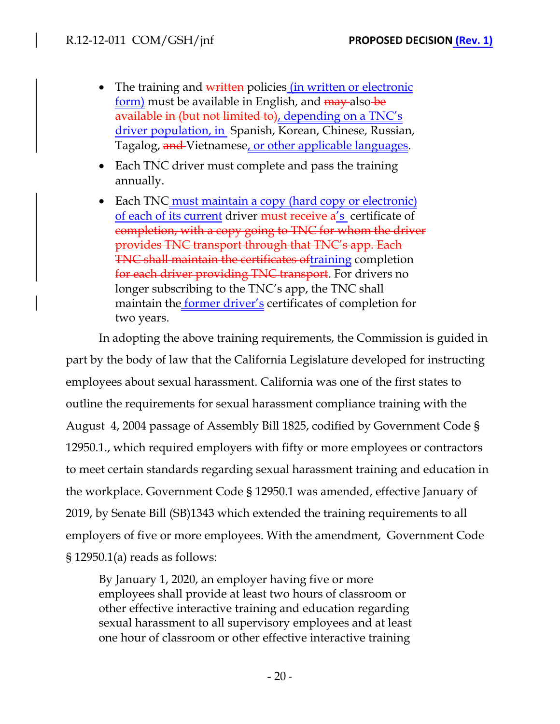- The training and written policies (in written or electronic form) must be available in English, and may also be available in (but not limited to), depending on a TNC's driver population, in Spanish, Korean, Chinese, Russian, Tagalog, and Vietnamese, or other applicable languages.
- Each TNC driver must complete and pass the training annually.
- Each TNC must maintain a copy (hard copy or electronic) of each of its current driver must receive a's certificate of completion, with a copy going to TNC for whom the driver provides TNC transport through that TNC's app. Each TNC shall maintain the certificates oftraining completion for each driver providing TNC transport. For drivers no longer subscribing to the TNC's app, the TNC shall maintain the **former driver's** certificates of completion for two years.

In adopting the above training requirements, the Commission is guided in part by the body of law that the California Legislature developed for instructing employees about sexual harassment. California was one of the first states to outline the requirements for sexual harassment compliance training with the August 4, 2004 passage of Assembly Bill 1825, codified by Government Code § 12950.1., which required employers with fifty or more employees or contractors to meet certain standards regarding sexual harassment training and education in the workplace. Government Code § 12950.1 was amended, effective January of 2019, by Senate Bill (SB)1343 which extended the training requirements to all employers of five or more employees. With the amendment, Government Code § 12950.1(a) reads as follows:

By January 1, 2020, an employer having five or more employees shall provide at least two hours of classroom or other effective interactive training and education regarding sexual harassment to all supervisory employees and at least one hour of classroom or other effective interactive training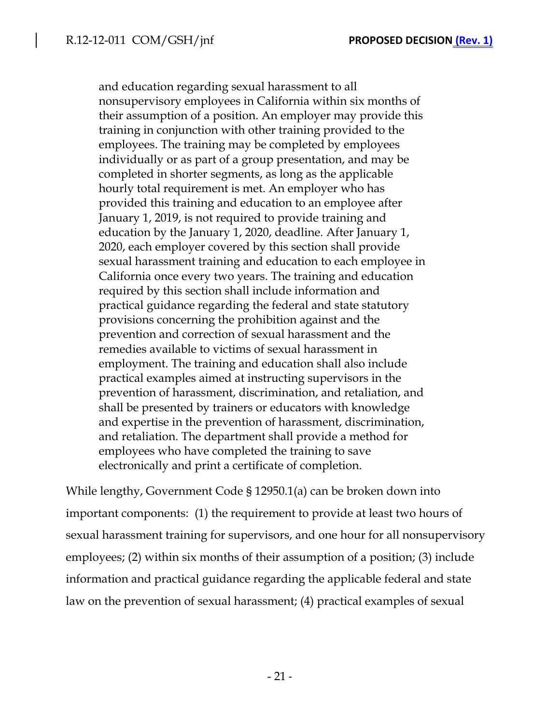and education regarding sexual harassment to all nonsupervisory employees in California within six months of their assumption of a position. An employer may provide this training in conjunction with other training provided to the employees. The training may be completed by employees individually or as part of a group presentation, and may be completed in shorter segments, as long as the applicable hourly total requirement is met. An employer who has provided this training and education to an employee after January 1, 2019, is not required to provide training and education by the January 1, 2020, deadline. After January 1, 2020, each employer covered by this section shall provide sexual harassment training and education to each employee in California once every two years. The training and education required by this section shall include information and practical guidance regarding the federal and state statutory provisions concerning the prohibition against and the prevention and correction of sexual harassment and the remedies available to victims of sexual harassment in employment. The training and education shall also include practical examples aimed at instructing supervisors in the prevention of harassment, discrimination, and retaliation, and shall be presented by trainers or educators with knowledge and expertise in the prevention of harassment, discrimination, and retaliation. The department shall provide a method for employees who have completed the training to save electronically and print a certificate of completion.

While lengthy, Government Code § 12950.1(a) can be broken down into important components: (1) the requirement to provide at least two hours of sexual harassment training for supervisors, and one hour for all nonsupervisory employees; (2) within six months of their assumption of a position; (3) include information and practical guidance regarding the applicable federal and state law on the prevention of sexual harassment; (4) practical examples of sexual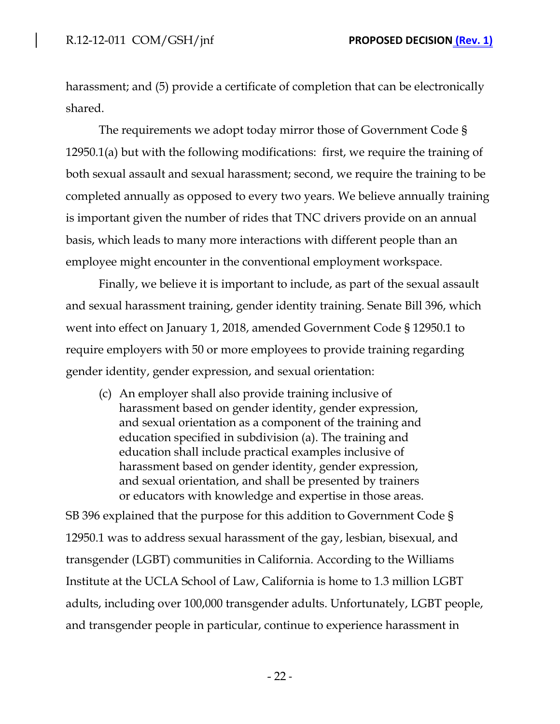harassment; and (5) provide a certificate of completion that can be electronically shared.

The requirements we adopt today mirror those of Government Code § 12950.1(a) but with the following modifications: first, we require the training of both sexual assault and sexual harassment; second, we require the training to be completed annually as opposed to every two years. We believe annually training is important given the number of rides that TNC drivers provide on an annual basis, which leads to many more interactions with different people than an employee might encounter in the conventional employment workspace.

Finally, we believe it is important to include, as part of the sexual assault and sexual harassment training, gender identity training. Senate Bill 396, which went into effect on January 1, 2018, amended Government Code § 12950.1 to require employers with 50 or more employees to provide training regarding gender identity, gender expression, and sexual orientation:

(c) An employer shall also provide training inclusive of harassment based on gender identity, gender expression, and sexual orientation as a component of the training and education specified in subdivision (a). The training and education shall include practical examples inclusive of harassment based on gender identity, gender expression, and sexual orientation, and shall be presented by trainers or educators with knowledge and expertise in those areas.

SB 396 explained that the purpose for this addition to Government Code § 12950.1 was to address sexual harassment of the gay, lesbian, bisexual, and transgender (LGBT) communities in California. According to the Williams Institute at the UCLA School of Law, California is home to 1.3 million LGBT adults, including over 100,000 transgender adults. Unfortunately, LGBT people, and transgender people in particular, continue to experience harassment in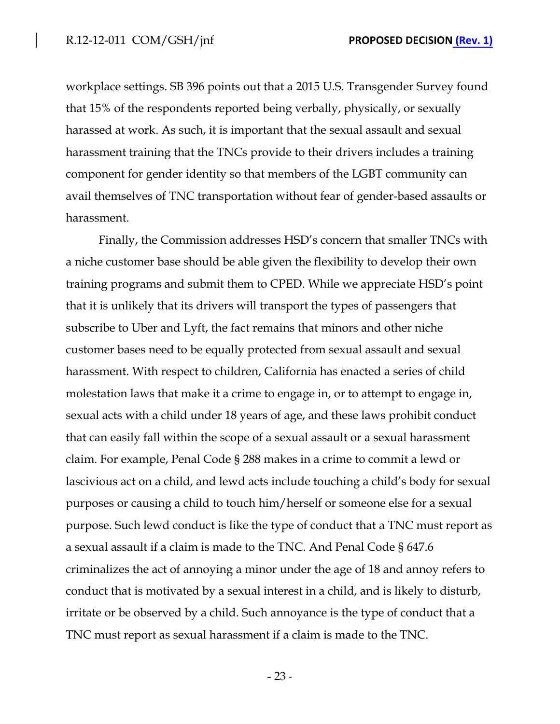R.12-12-011 COM/GSH/jnf **PROPOSED DECISION (Rev. 1)**

workplace settings. SB 396 points out that a 2015 U.S. Transgender Survey found that 15% of the respondents reported being verbally, physically, or sexually harassed at work. As such, it is important that the sexual assault and sexual harassment training that the TNCs provide to their drivers includes a training component for gender identity so that members of the LGBT community can avail themselves of TNC transportation without fear of gender-based assaults or harassment.

Finally, the Commission addresses HSD's concern that smaller TNCs with a niche customer base should be able given the flexibility to develop their own training programs and submit them to CPED. While we appreciate HSD's point that it is unlikely that its drivers will transport the types of passengers that subscribe to Uber and Lyft, the fact remains that minors and other niche customer bases need to be equally protected from sexual assault and sexual harassment. With respect to children, California has enacted a series of child molestation laws that make it a crime to engage in, or to attempt to engage in, sexual acts with a child under 18 years of age, and these laws prohibit conduct that can easily fall within the scope of a sexual assault or a sexual harassment claim. For example, Penal Code § 288 makes in a crime to commit a lewd or lascivious act on a child, and lewd acts include touching a child's body for sexual purposes or causing a child to touch him/herself or someone else for a sexual purpose. Such lewd conduct is like the type of conduct that a TNC must report as a sexual assault if a claim is made to the TNC. And Penal Code § 647.6 criminalizes the act of annoying a minor under the age of 18 and annoy refers to conduct that is motivated by a sexual interest in a child, and is likely to disturb, irritate or be observed by a child. Such annoyance is the type of conduct that a TNC must report as sexual harassment if a claim is made to the TNC.

- 23 -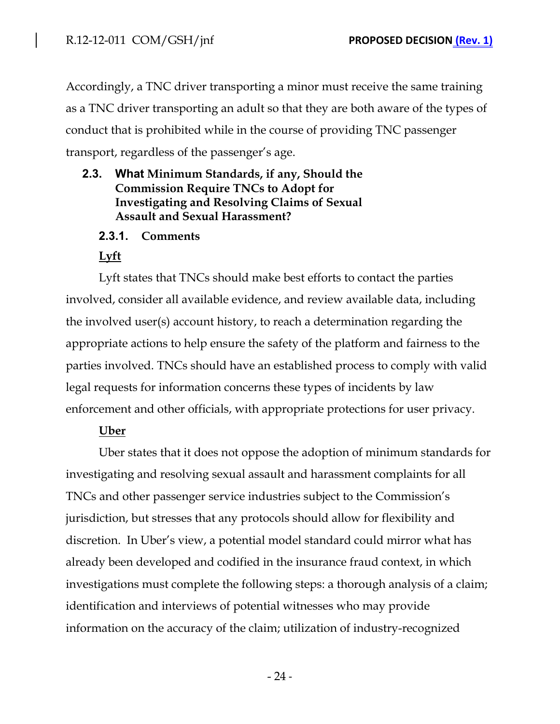Accordingly, a TNC driver transporting a minor must receive the same training as a TNC driver transporting an adult so that they are both aware of the types of conduct that is prohibited while in the course of providing TNC passenger transport, regardless of the passenger's age.

## **2.3. What Minimum Standards, if any, Should the Commission Require TNCs to Adopt for Investigating and Resolving Claims of Sexual Assault and Sexual Harassment?**

**2.3.1. Comments**

### **Lyft**

Lyft states that TNCs should make best efforts to contact the parties involved, consider all available evidence, and review available data, including the involved user(s) account history, to reach a determination regarding the appropriate actions to help ensure the safety of the platform and fairness to the parties involved. TNCs should have an established process to comply with valid legal requests for information concerns these types of incidents by law enforcement and other officials, with appropriate protections for user privacy.

### **Uber**

Uber states that it does not oppose the adoption of minimum standards for investigating and resolving sexual assault and harassment complaints for all TNCs and other passenger service industries subject to the Commission's jurisdiction, but stresses that any protocols should allow for flexibility and discretion. In Uber's view, a potential model standard could mirror what has already been developed and codified in the insurance fraud context, in which investigations must complete the following steps: a thorough analysis of a claim; identification and interviews of potential witnesses who may provide information on the accuracy of the claim; utilization of industry-recognized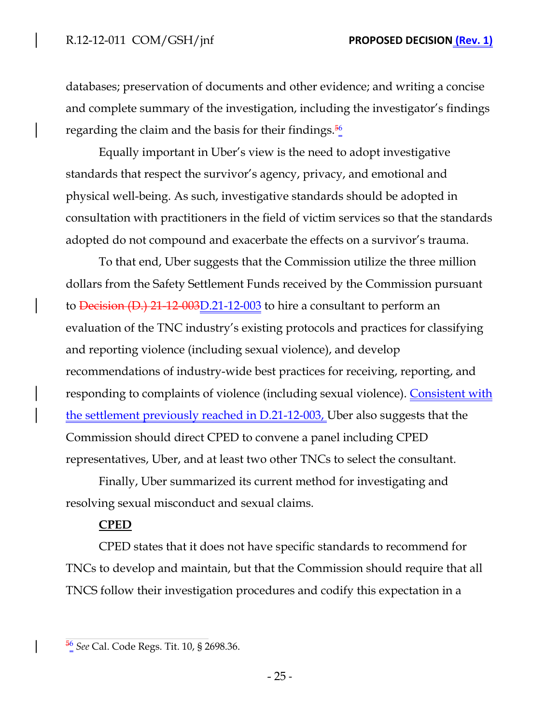databases; preservation of documents and other evidence; and writing a concise and complete summary of the investigation, including the investigator's findings regarding the claim and the basis for their findings. $\frac{56}{5}$ 

Equally important in Uber's view is the need to adopt investigative standards that respect the survivor's agency, privacy, and emotional and physical well-being. As such, investigative standards should be adopted in consultation with practitioners in the field of victim services so that the standards adopted do not compound and exacerbate the effects on a survivor's trauma.

To that end, Uber suggests that the Commission utilize the three million dollars from the Safety Settlement Funds received by the Commission pursuant to  $\overline{\text{Decision (D.) 21-12-003D.21-12-003}}$  to hire a consultant to perform an evaluation of the TNC industry's existing protocols and practices for classifying and reporting violence (including sexual violence), and develop recommendations of industry-wide best practices for receiving, reporting, and responding to complaints of violence (including sexual violence). Consistent with the settlement previously reached in D.21-12-003, Uber also suggests that the Commission should direct CPED to convene a panel including CPED representatives, Uber, and at least two other TNCs to select the consultant.

Finally, Uber summarized its current method for investigating and resolving sexual misconduct and sexual claims.

#### **CPED**

CPED states that it does not have specific standards to recommend for TNCs to develop and maintain, but that the Commission should require that all TNCS follow their investigation procedures and codify this expectation in a

<sup>56</sup> *See* Cal. Code Regs. Tit. 10, § 2698.36.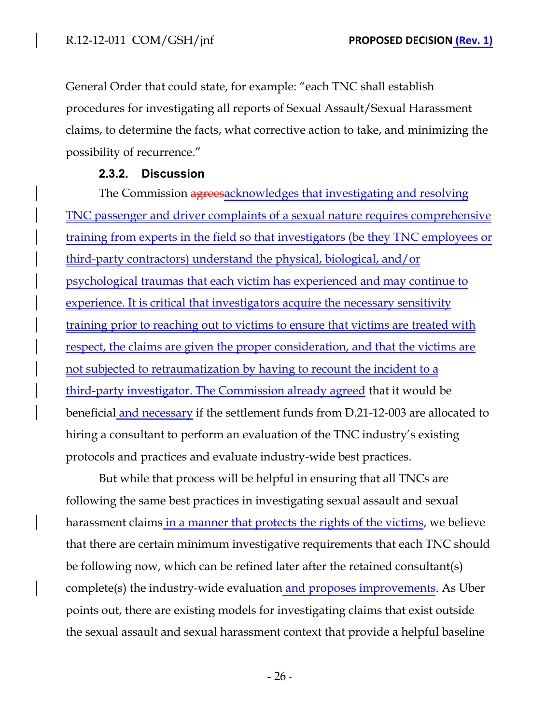General Order that could state, for example: "each TNC shall establish procedures for investigating all reports of Sexual Assault/Sexual Harassment claims, to determine the facts, what corrective action to take, and minimizing the possibility of recurrence."

### **2.3.2. Discussion**

The Commission agreesacknowledges that investigating and resolving TNC passenger and driver complaints of a sexual nature requires comprehensive training from experts in the field so that investigators (be they TNC employees or third-party contractors) understand the physical, biological, and/or psychological traumas that each victim has experienced and may continue to experience. It is critical that investigators acquire the necessary sensitivity training prior to reaching out to victims to ensure that victims are treated with respect, the claims are given the proper consideration, and that the victims are not subjected to retraumatization by having to recount the incident to a third-party investigator. The Commission already agreed that it would be beneficial and necessary if the settlement funds from D.21-12-003 are allocated to hiring a consultant to perform an evaluation of the TNC industry's existing protocols and practices and evaluate industry-wide best practices.

But while that process will be helpful in ensuring that all TNCs are following the same best practices in investigating sexual assault and sexual harassment claims in a manner that protects the rights of the victims, we believe that there are certain minimum investigative requirements that each TNC should be following now, which can be refined later after the retained consultant(s) complete(s) the industry-wide evaluation and proposes improvements. As Uber points out, there are existing models for investigating claims that exist outside the sexual assault and sexual harassment context that provide a helpful baseline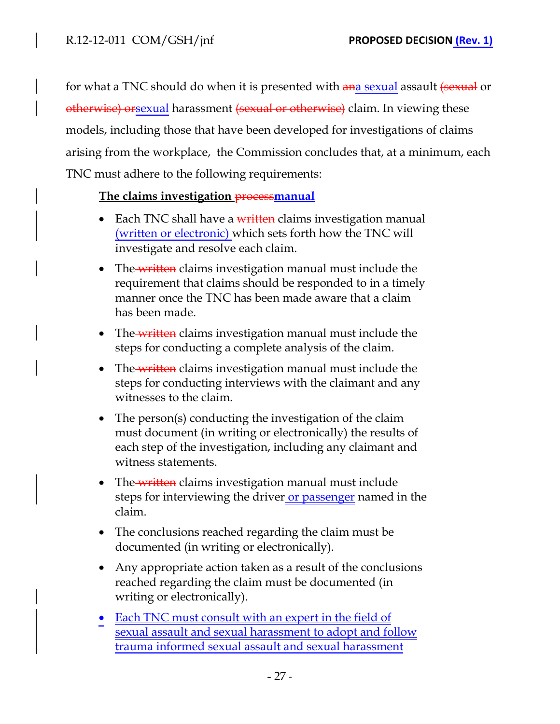for what a TNC should do when it is presented with ana sexual assault (sexual or otherwise) orsexual harassment (sexual or otherwise) claim. In viewing these models, including those that have been developed for investigations of claims arising from the workplace, the Commission concludes that, at a minimum, each TNC must adhere to the following requirements:

# **The claims investigation** process**manual**

- Each TNC shall have a <del>written</del> claims investigation manual (written or electronic) which sets forth how the TNC will investigate and resolve each claim.
- The written claims investigation manual must include the requirement that claims should be responded to in a timely manner once the TNC has been made aware that a claim has been made.
- The written claims investigation manual must include the steps for conducting a complete analysis of the claim.
- The written claims investigation manual must include the steps for conducting interviews with the claimant and any witnesses to the claim.
- The person(s) conducting the investigation of the claim must document (in writing or electronically) the results of each step of the investigation, including any claimant and witness statements.
- The written claims investigation manual must include steps for interviewing the driver or passenger named in the claim.
- The conclusions reached regarding the claim must be documented (in writing or electronically).
- Any appropriate action taken as a result of the conclusions reached regarding the claim must be documented (in writing or electronically).
- Each TNC must consult with an expert in the field of sexual assault and sexual harassment to adopt and follow trauma informed sexual assault and sexual harassment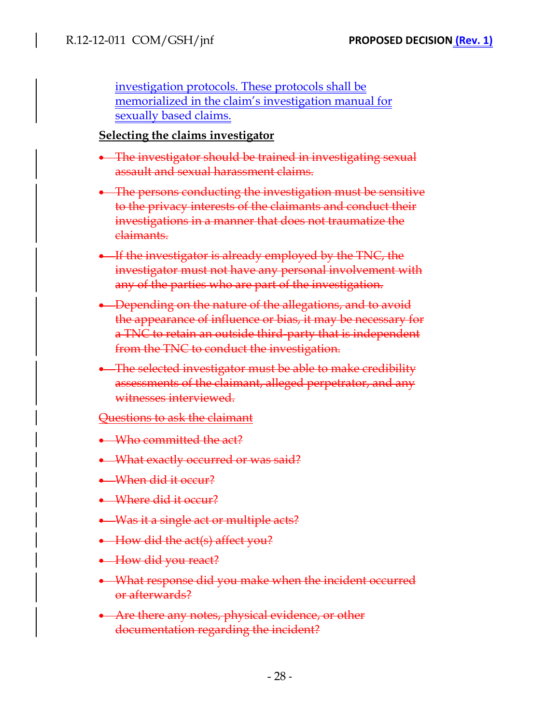investigation protocols. These protocols shall be memorialized in the claim's investigation manual for sexually based claims.

## **Selecting the claims investigator**

- The investigator should be trained in investigating sexual assault and sexual harassment claims.
- The persons conducting the investigation must be sensitive to the privacy interests of the claimants and conduct their investigations in a manner that does not traumatize the claimants.
- **If the investigator is already employed by the TNC, the** investigator must not have any personal involvement with any of the parties who are part of the investigation.
- Depending on the nature of the allegations, and to avoid the appearance of influence or bias, it may be necessary for a TNC to retain an outside third-party that is independent from the TNC to conduct the investigation.
- The selected investigator must be able to make credibility assessments of the claimant, alleged perpetrator, and any witnesses interviewed.

#### Questions to ask the claimant

- Who committed the act?
- What exactly occurred or was said?
- When did it occur?
- Where did it occur?
- Was it a single act or multiple acts?
- $\bullet$  How did the act(s) affect you?
- How did you react?
- What response did you make when the incident occurred or afterwards?
- Are there any notes, physical evidence, or other documentation regarding the incident?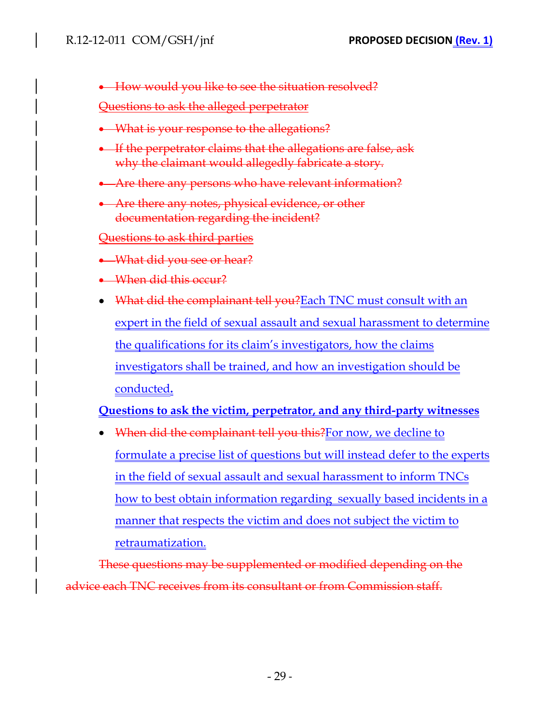• How would you like to see the situation resolved?

Questions to ask the alleged perpetrator

- What is your response to the allegations?
- **If the perpetrator claims that the allegations are false, ask** why the claimant would allegedly fabricate a story.
- Are there any persons who have relevant information?
- Are there any notes, physical evidence, or other documentation regarding the incident?

Questions to ask third parties

- What did you see or hear?
- When did this occur?
- What did the complainant tell you?Each TNC must consult with an expert in the field of sexual assault and sexual harassment to determine the qualifications for its claim's investigators, how the claims investigators shall be trained, and how an investigation should be conducted**.**

**Questions to ask the victim, perpetrator, and any third-party witnesses**

• When did the complainant tell you this? For now, we decline to formulate a precise list of questions but will instead defer to the experts in the field of sexual assault and sexual harassment to inform TNCs how to best obtain information regarding sexually based incidents in a manner that respects the victim and does not subject the victim to retraumatization.

These questions may be supplemented or modified depending on the advice each TNC receives from its consultant or from Commission staff.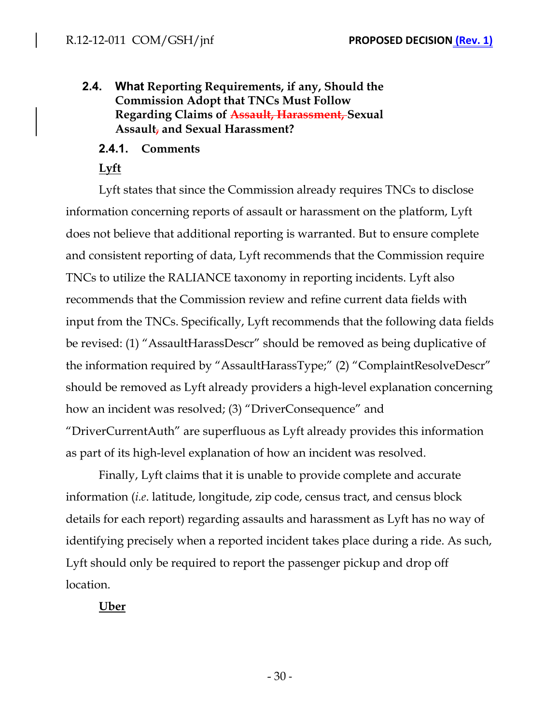# **2.4. What Reporting Requirements, if any, Should the Commission Adopt that TNCs Must Follow Regarding Claims of Assault, Harassment, Sexual Assault, and Sexual Harassment?**

### **2.4.1. Comments**

# **Lyft**

Lyft states that since the Commission already requires TNCs to disclose information concerning reports of assault or harassment on the platform, Lyft does not believe that additional reporting is warranted. But to ensure complete and consistent reporting of data, Lyft recommends that the Commission require TNCs to utilize the RALIANCE taxonomy in reporting incidents. Lyft also recommends that the Commission review and refine current data fields with input from the TNCs. Specifically, Lyft recommends that the following data fields be revised: (1) "AssaultHarassDescr" should be removed as being duplicative of the information required by "AssaultHarassType;" (2) "ComplaintResolveDescr" should be removed as Lyft already providers a high-level explanation concerning how an incident was resolved; (3) "DriverConsequence" and "DriverCurrentAuth" are superfluous as Lyft already provides this information as part of its high-level explanation of how an incident was resolved.

Finally, Lyft claims that it is unable to provide complete and accurate information (*i.e*. latitude, longitude, zip code, census tract, and census block details for each report) regarding assaults and harassment as Lyft has no way of identifying precisely when a reported incident takes place during a ride. As such, Lyft should only be required to report the passenger pickup and drop off location.

### **Uber**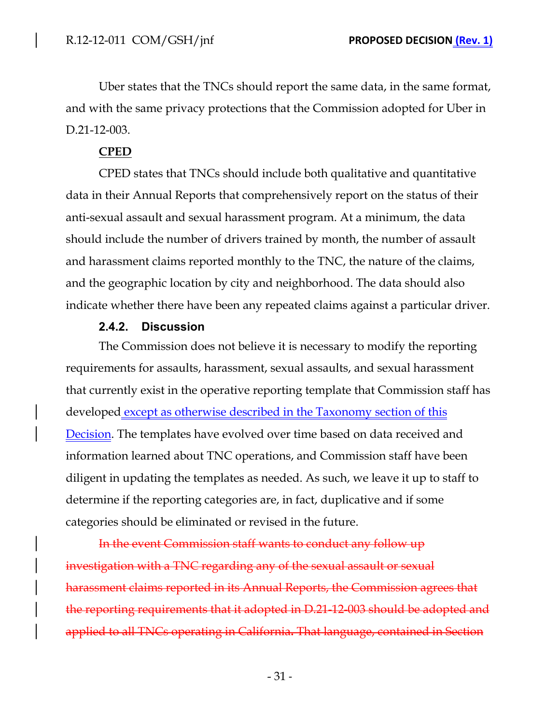Uber states that the TNCs should report the same data, in the same format, and with the same privacy protections that the Commission adopted for Uber in D.21-12-003.

#### **CPED**

CPED states that TNCs should include both qualitative and quantitative data in their Annual Reports that comprehensively report on the status of their anti-sexual assault and sexual harassment program. At a minimum, the data should include the number of drivers trained by month, the number of assault and harassment claims reported monthly to the TNC, the nature of the claims, and the geographic location by city and neighborhood. The data should also indicate whether there have been any repeated claims against a particular driver.

#### **2.4.2. Discussion**

The Commission does not believe it is necessary to modify the reporting requirements for assaults, harassment, sexual assaults, and sexual harassment that currently exist in the operative reporting template that Commission staff has developed except as otherwise described in the Taxonomy section of this Decision. The templates have evolved over time based on data received and information learned about TNC operations, and Commission staff have been diligent in updating the templates as needed. As such, we leave it up to staff to determine if the reporting categories are, in fact, duplicative and if some categories should be eliminated or revised in the future.

In the event Commission staff wants to conduct any follow up investigation with a TNC regarding any of the sexual assault or sexual harassment claims reported in its Annual Reports, the Commission agrees that the reporting requirements that it adopted in D.21-12-003 should be adopted and applied to all TNCs operating in California**.** That language, contained in Section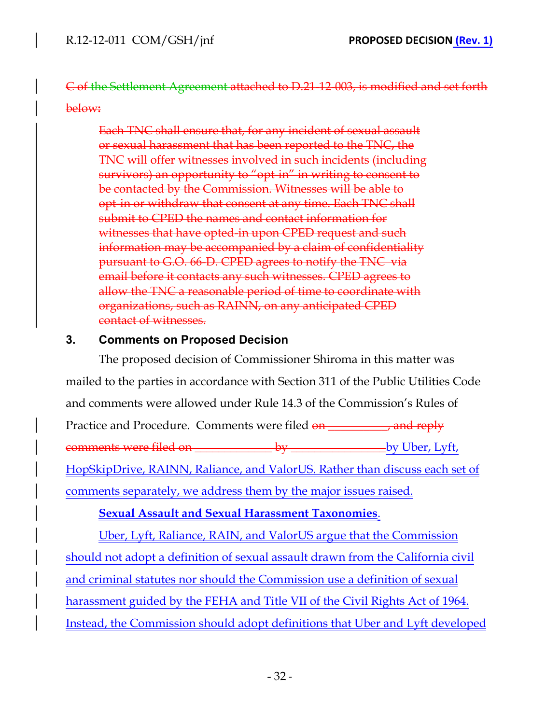C of the Settlement Agreement attached to D.21-12-003, is modified and set forth below**:**

Each TNC shall ensure that, for any incident of sexual assault or sexual harassment that has been reported to the TNC, the TNC will offer witnesses involved in such incidents (including survivors) an opportunity to "opt-in" in writing to consent to be contacted by the Commission. Witnesses will be able to opt-in or withdraw that consent at any time. Each TNC shall submit to CPED the names and contact information for witnesses that have opted-in upon CPED request and such information may be accompanied by a claim of confidentiality pursuant to G.O. 66-D. CPED agrees to notify the TNC via email before it contacts any such witnesses. CPED agrees to allow the TNC a reasonable period of time to coordinate with organizations, such as RAINN, on any anticipated CPED contact of witnesses.

# **3. Comments on Proposed Decision**

The proposed decision of Commissioner Shiroma in this matter was mailed to the parties in accordance with Section 311 of the Public Utilities Code and comments were allowed under Rule 14.3 of the Commission's Rules of Practice and Procedure. Comments were filed  $\theta$ n \_\_\_\_\_\_\_\_\_, and reply comments were filed on \_\_\_\_\_\_\_\_\_\_\_\_\_ by \_\_\_\_\_\_\_\_\_\_\_\_\_\_\_\_by Uber, Lyft, HopSkipDrive, RAINN, Raliance, and ValorUS. Rather than discuss each set of comments separately, we address them by the major issues raised.

# **Sexual Assault and Sexual Harassment Taxonomies**.

Uber, Lyft, Raliance, RAIN, and ValorUS argue that the Commission should not adopt a definition of sexual assault drawn from the California civil and criminal statutes nor should the Commission use a definition of sexual harassment guided by the FEHA and Title VII of the Civil Rights Act of 1964. Instead, the Commission should adopt definitions that Uber and Lyft developed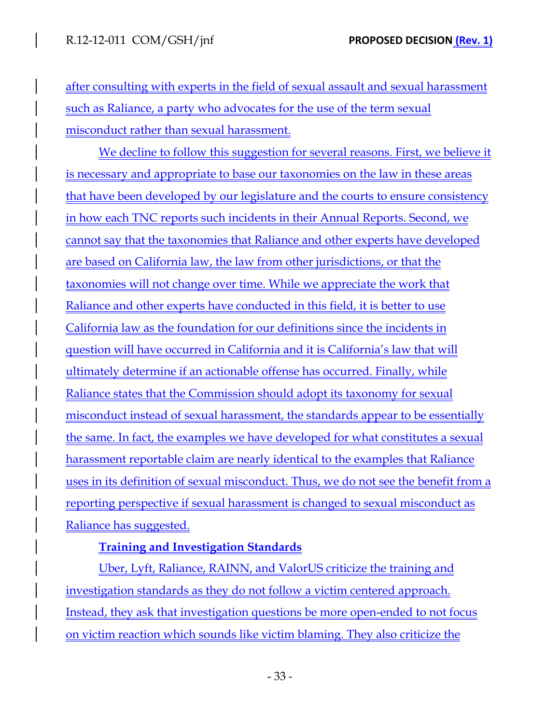after consulting with experts in the field of sexual assault and sexual harassment such as Raliance, a party who advocates for the use of the term sexual misconduct rather than sexual harassment.

We decline to follow this suggestion for several reasons. First, we believe it is necessary and appropriate to base our taxonomies on the law in these areas that have been developed by our legislature and the courts to ensure consistency in how each TNC reports such incidents in their Annual Reports. Second, we cannot say that the taxonomies that Raliance and other experts have developed are based on California law, the law from other jurisdictions, or that the taxonomies will not change over time. While we appreciate the work that Raliance and other experts have conducted in this field, it is better to use California law as the foundation for our definitions since the incidents in question will have occurred in California and it is California's law that will ultimately determine if an actionable offense has occurred. Finally, while Raliance states that the Commission should adopt its taxonomy for sexual misconduct instead of sexual harassment, the standards appear to be essentially the same. In fact, the examples we have developed for what constitutes a sexual harassment reportable claim are nearly identical to the examples that Raliance uses in its definition of sexual misconduct. Thus, we do not see the benefit from a reporting perspective if sexual harassment is changed to sexual misconduct as Raliance has suggested.

# **Training and Investigation Standards**

Uber, Lyft, Raliance, RAINN, and ValorUS criticize the training and investigation standards as they do not follow a victim centered approach. Instead, they ask that investigation questions be more open-ended to not focus on victim reaction which sounds like victim blaming. They also criticize the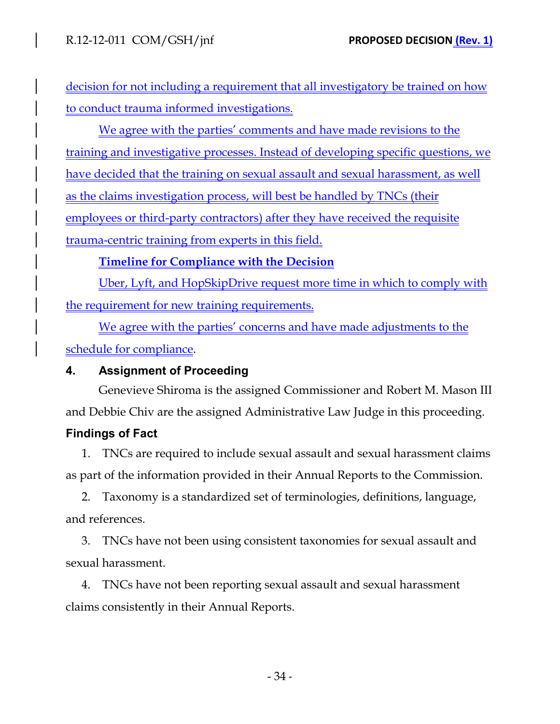decision for not including a requirement that all investigatory be trained on how to conduct trauma informed investigations.

We agree with the parties' comments and have made revisions to the training and investigative processes. Instead of developing specific questions, we have decided that the training on sexual assault and sexual harassment, as well as the claims investigation process, will best be handled by TNCs (their employees or third-party contractors) after they have received the requisite trauma-centric training from experts in this field.

**Timeline for Compliance with the Decision**

Uber, Lyft, and HopSkipDrive request more time in which to comply with the requirement for new training requirements.

We agree with the parties' concerns and have made adjustments to the schedule for compliance.

### **4. Assignment of Proceeding**

Genevieve Shiroma is the assigned Commissioner and Robert M. Mason III and Debbie Chiv are the assigned Administrative Law Judge in this proceeding.

# **Findings of Fact**

1. TNCs are required to include sexual assault and sexual harassment claims as part of the information provided in their Annual Reports to the Commission.

2. Taxonomy is a standardized set of terminologies, definitions, language, and references.

3. TNCs have not been using consistent taxonomies for sexual assault and sexual harassment.

4. TNCs have not been reporting sexual assault and sexual harassment claims consistently in their Annual Reports.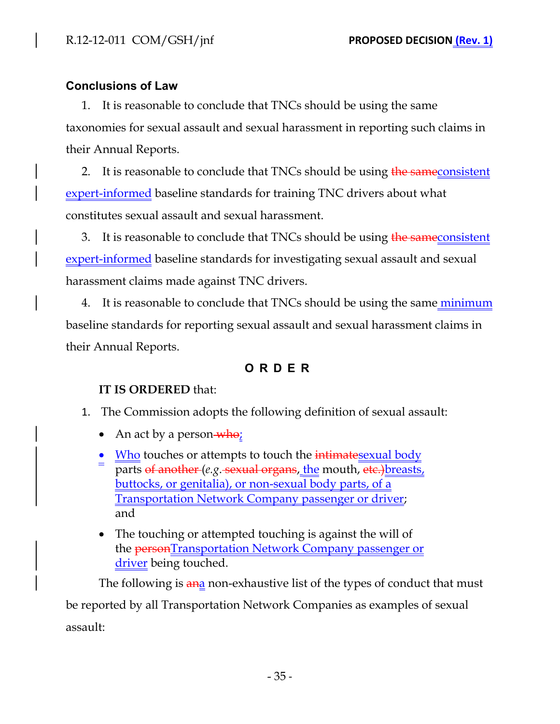# **Conclusions of Law**

1. It is reasonable to conclude that TNCs should be using the same taxonomies for sexual assault and sexual harassment in reporting such claims in their Annual Reports.

2. It is reasonable to conclude that TNCs should be using the same consistent expert-informed baseline standards for training TNC drivers about what constitutes sexual assault and sexual harassment.

3. It is reasonable to conclude that TNCs should be using the sameconsistent expert-informed baseline standards for investigating sexual assault and sexual harassment claims made against TNC drivers.

4. It is reasonable to conclude that TNCs should be using the same minimum baseline standards for reporting sexual assault and sexual harassment claims in their Annual Reports.

# **ORDER**

# **IT IS ORDERED** that:

1. The Commission adopts the following definition of sexual assault:

- An act by a person- $w h e_k$
- Who touches or attempts to touch the *intimatesexual body* parts of another (*e.g.* sexual organs, the mouth, etc.) breasts, buttocks, or genitalia), or non-sexual body parts, of a Transportation Network Company passenger or driver; and
- The touching or attempted touching is against the will of the **personTransportation Network Company passenger or** driver being touched.

The following is ana non-exhaustive list of the types of conduct that must be reported by all Transportation Network Companies as examples of sexual assault: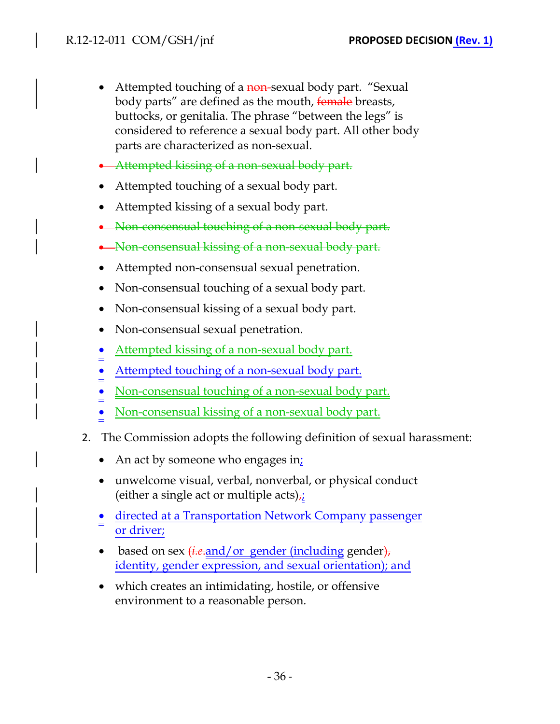- Attempted touching of a non-sexual body part. "Sexual body parts" are defined as the mouth, female breasts, buttocks, or genitalia. The phrase "between the legs" is considered to reference a sexual body part. All other body parts are characterized as non-sexual.
- Attempted kissing of a non-sexual body part.
- Attempted touching of a sexual body part.
- Attempted kissing of a sexual body part.
- Non-consensual touching of a non-sexual body part.
- Non-consensual kissing of a non-sexual body part.
- Attempted non-consensual sexual penetration.
- Non-consensual touching of a sexual body part.
- Non-consensual kissing of a sexual body part.
- Non-consensual sexual penetration.
- Attempted kissing of a non-sexual body part.
- Attempted touching of a non-sexual body part.
- Non-consensual touching of a non-sexual body part.
- Non-consensual kissing of a non-sexual body part.
- 2. The Commission adopts the following definition of sexual harassment:
	- An act by someone who engages in $\frac{1}{2}$
	- unwelcome visual, verbal, nonverbal, or physical conduct (either a single act or multiple acts) $\overline{\mathfrak{z}}$
	- directed at a Transportation Network Company passenger or driver;
	- based on sex *(i.e.and/or gender (including gender)*, identity, gender expression, and sexual orientation); and
	- which creates an intimidating, hostile, or offensive environment to a reasonable person.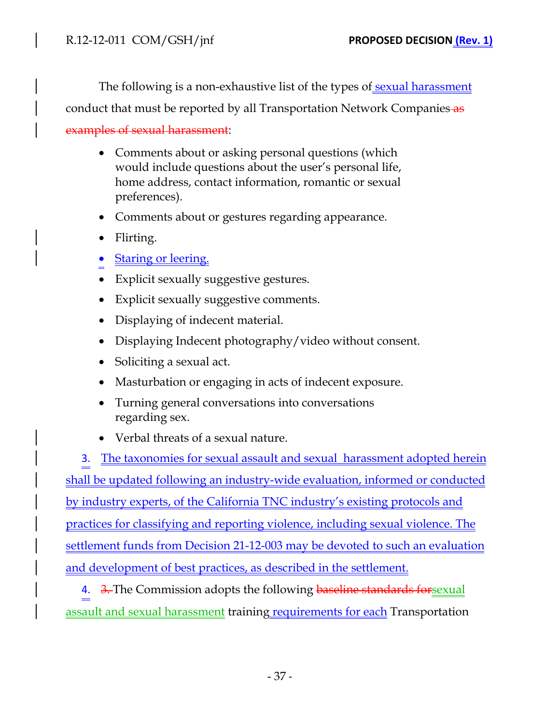The following is a non-exhaustive list of the types of **sexual harassment** 

conduct that must be reported by all Transportation Network Companies-as

# examples of sexual harassment:

- Comments about or asking personal questions (which would include questions about the user's personal life, home address, contact information, romantic or sexual preferences).
- Comments about or gestures regarding appearance.
- Flirting.
- Staring or leering.
- Explicit sexually suggestive gestures.
- Explicit sexually suggestive comments.
- Displaying of indecent material.
- Displaying Indecent photography/video without consent.
- Soliciting a sexual act.
- Masturbation or engaging in acts of indecent exposure.
- Turning general conversations into conversations regarding sex.
- Verbal threats of a sexual nature.

3. The taxonomies for sexual assault and sexual harassment adopted herein shall be updated following an industry-wide evaluation, informed or conducted by industry experts, of the California TNC industry's existing protocols and practices for classifying and reporting violence, including sexual violence. The settlement funds from Decision 21-12-003 may be devoted to such an evaluation and development of best practices, as described in the settlement.

4. 3. The Commission adopts the following baseline standards for sexual assault and sexual harassment training requirements for each Transportation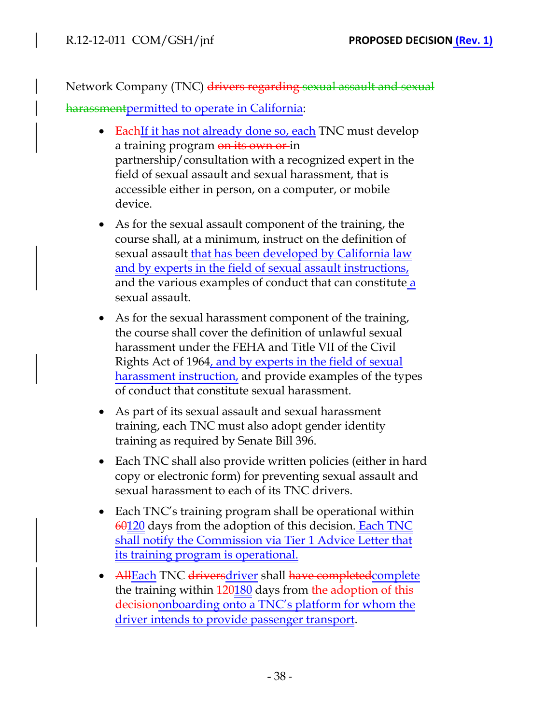Network Company (TNC) drivers regarding sexual assault and sexual

harassmentpermitted to operate in California:

- EachIf it has not already done so, each TNC must develop a training program <del>on its own or </del>in partnership/consultation with a recognized expert in the field of sexual assault and sexual harassment, that is accessible either in person, on a computer, or mobile device.
- As for the sexual assault component of the training, the course shall, at a minimum, instruct on the definition of sexual assault that has been developed by California law and by experts in the field of sexual assault instructions, and the various examples of conduct that can constitute a sexual assault.
- As for the sexual harassment component of the training, the course shall cover the definition of unlawful sexual harassment under the FEHA and Title VII of the Civil Rights Act of 1964, and by experts in the field of sexual harassment instruction, and provide examples of the types of conduct that constitute sexual harassment.
- As part of its sexual assault and sexual harassment training, each TNC must also adopt gender identity training as required by Senate Bill 396.
- Each TNC shall also provide written policies (either in hard copy or electronic form) for preventing sexual assault and sexual harassment to each of its TNC drivers.
- Each TNC's training program shall be operational within  $60120$  days from the adoption of this decision. Each TNC shall notify the Commission via Tier 1 Advice Letter that its training program is operational.
- AllEach TNC driversdriver shall have completed complete the training within  $\frac{120180}{120}$  days from the adoption of this decisiononboarding onto a TNC's platform for whom the driver intends to provide passenger transport.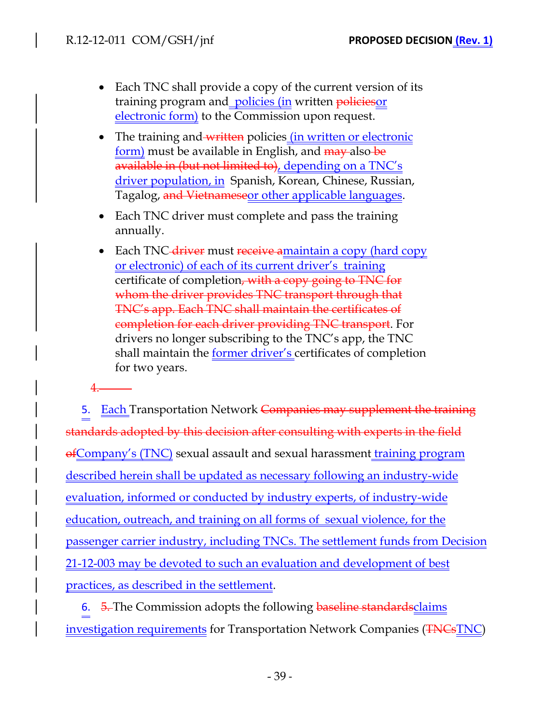4.

- Each TNC shall provide a copy of the current version of its training program and policies (in written policies or electronic form) to the Commission upon request.
- The training and written policies (in written or electronic form) must be available in English, and may also be available in (but not limited to), depending on a TNC's driver population, in Spanish, Korean, Chinese, Russian, Tagalog, and Vietnameseor other applicable languages.
- Each TNC driver must complete and pass the training annually.
- Each TNC driver must receive amaintain a copy (hard copy or electronic) of each of its current driver's training certificate of completion, with a copy going to TNC for whom the driver provides TNC transport through that TNC's app. Each TNC shall maintain the certificates of completion for each driver providing TNC transport. For drivers no longer subscribing to the TNC's app, the TNC shall maintain the <u>former driver's</u> certificates of completion for two years.

5. Each Transportation Network Companies may supplement the training standards adopted by this decision after consulting with experts in the field ofCompany's (TNC) sexual assault and sexual harassment training program described herein shall be updated as necessary following an industry-wide evaluation, informed or conducted by industry experts, of industry-wide education, outreach, and training on all forms of sexual violence, for the passenger carrier industry, including TNCs. The settlement funds from Decision 21-12-003 may be devoted to such an evaluation and development of best practices, as described in the settlement.

6. 5. The Commission adopts the following baseline standardsclaims investigation requirements for Transportation Network Companies (TNCsTNC)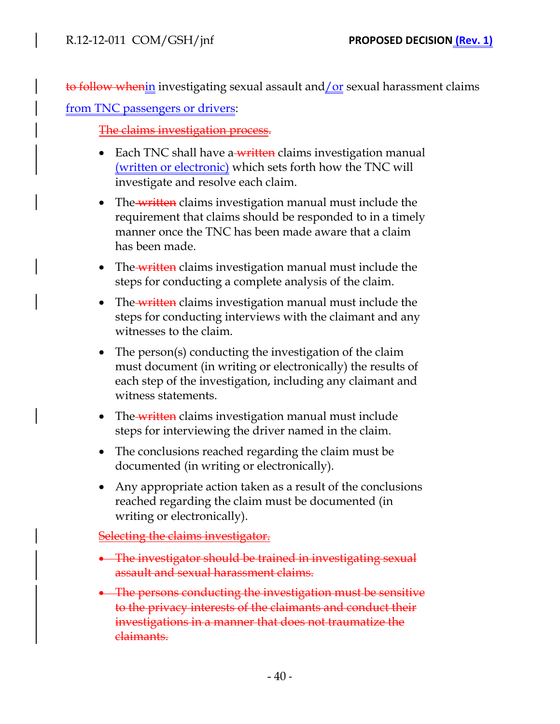to follow whenin investigating sexual assault and  $\sigma$  sexual harassment claims

from TNC passengers or drivers:

The claims investigation process.

- Each TNC shall have a written claims investigation manual (written or electronic) which sets forth how the TNC will investigate and resolve each claim.
- The written claims investigation manual must include the requirement that claims should be responded to in a timely manner once the TNC has been made aware that a claim has been made.
- The written claims investigation manual must include the steps for conducting a complete analysis of the claim.
- The written claims investigation manual must include the steps for conducting interviews with the claimant and any witnesses to the claim.
- The person(s) conducting the investigation of the claim must document (in writing or electronically) the results of each step of the investigation, including any claimant and witness statements.
- The written claims investigation manual must include steps for interviewing the driver named in the claim.
- The conclusions reached regarding the claim must be documented (in writing or electronically).
- Any appropriate action taken as a result of the conclusions reached regarding the claim must be documented (in writing or electronically).

<u>Selecting the claims investigator.</u>

- The investigator should be trained in investigating sexual assault and sexual harassment claims.
- The persons conducting the investigation must be sensitive to the privacy interests of the claimants and conduct their investigations in a manner that does not traumatize the claimants.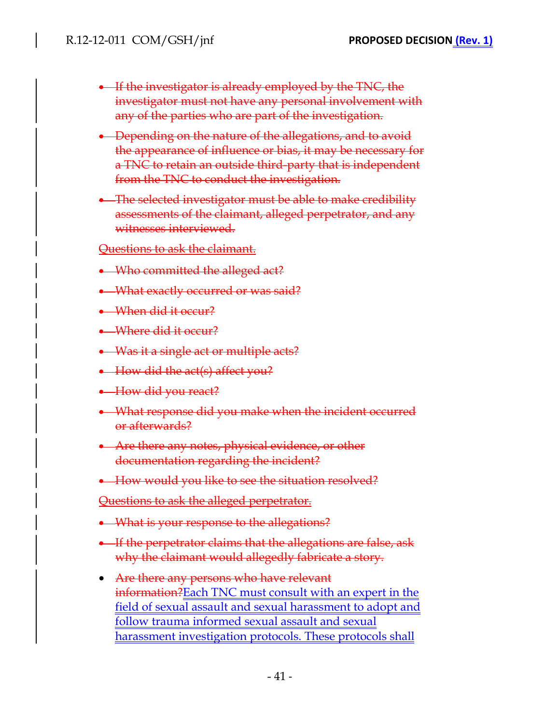- If the investigator is already employed by the TNC, the investigator must not have any personal involvement with any of the parties who are part of the investigation.
- Depending on the nature of the allegations, and to avoid the appearance of influence or bias, it may be necessary for a TNC to retain an outside third-party that is independent from the TNC to conduct the investigation.
- The selected investigator must be able to make credibility assessments of the claimant, alleged perpetrator, and any witnesses interviewed.

Questions to ask the claimant.

- Who committed the alleged act?
- What exactly occurred or was said?
- When did it occur?
- Where did it occur?
- Was it a single act or multiple acts?
- How did the act(s) affect you?
- How did you react?
- What response did you make when the incident occurred or afterwards?
- Are there any notes, physical evidence, or other documentation regarding the incident?
- $\longrightarrow$  How would you like to see the situation resolved?

Questions to ask the alleged perpetrator.

- What is your response to the allegations?
- **If the perpetrator claims that the allegations are false, ask** why the claimant would allegedly fabricate a story.
- Are there any persons who have relevant information?Each TNC must consult with an expert in the field of sexual assault and sexual harassment to adopt and follow trauma informed sexual assault and sexual harassment investigation protocols. These protocols shall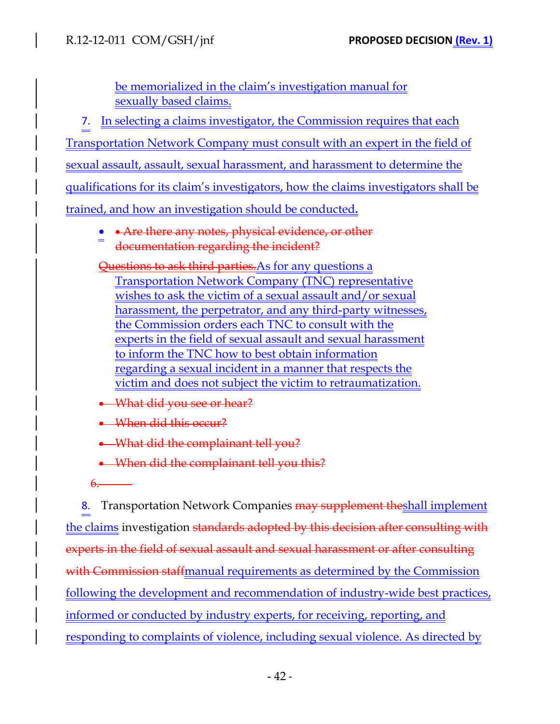be memorialized in the claim's investigation manual for sexually based claims.

7. In selecting a claims investigator, the Commission requires that each Transportation Network Company must consult with an expert in the field of sexual assault, assault, sexual harassment, and harassment to determine the qualifications for its claim's investigators, how the claims investigators shall be trained, and how an investigation should be conducted**.**

• • Are there any notes, physical evidence, or other documentation regarding the incident?

Questions to ask third parties.As for any questions a Transportation Network Company (TNC) representative wishes to ask the victim of a sexual assault and/or sexual harassment, the perpetrator, and any third-party witnesses, the Commission orders each TNC to consult with the experts in the field of sexual assault and sexual harassment to inform the TNC how to best obtain information regarding a sexual incident in a manner that respects the victim and does not subject the victim to retraumatization.

• What did you see or hear?

• When did this occur?

• What did the complainant tell you?

• When did the complainant tell you this?

6.

8. Transportation Network Companies may supplement the shall implement the claims investigation standards adopted by this decision after consulting with experts in the field of sexual assault and sexual harassment or after consulting with Commission staffmanual requirements as determined by the Commission following the development and recommendation of industry-wide best practices, informed or conducted by industry experts, for receiving, reporting, and responding to complaints of violence, including sexual violence. As directed by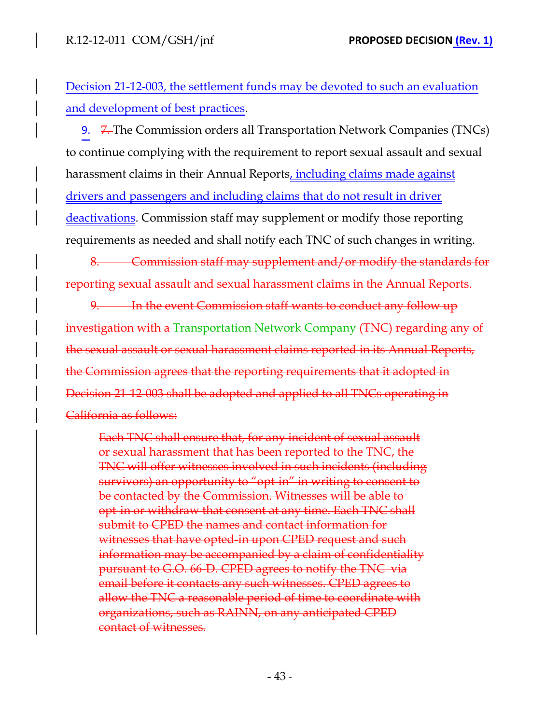Decision 21-12-003, the settlement funds may be devoted to such an evaluation and development of best practices.

9. 7. The Commission orders all Transportation Network Companies (TNCs) to continue complying with the requirement to report sexual assault and sexual harassment claims in their Annual Reports, including claims made against drivers and passengers and including claims that do not result in driver deactivations. Commission staff may supplement or modify those reporting requirements as needed and shall notify each TNC of such changes in writing.

8. Commission staff may supplement and/or modify the standards for reporting sexual assault and sexual harassment claims in the Annual Reports.

9. In the event Commission staff wants to conduct any follow up investigation with a Transportation Network Company (TNC) regarding any of the sexual assault or sexual harassment claims reported in its Annual Reports, the Commission agrees that the reporting requirements that it adopted in Decision 21-12-003 shall be adopted and applied to all TNCs operating in California as follows:

Each TNC shall ensure that, for any incident of sexual assault or sexual harassment that has been reported to the TNC, the TNC will offer witnesses involved in such incidents (including survivors) an opportunity to "opt-in" in writing to consent to be contacted by the Commission. Witnesses will be able to opt-in or withdraw that consent at any time. Each TNC shall submit to CPED the names and contact information for witnesses that have opted-in upon CPED request and such information may be accompanied by a claim of confidentiality pursuant to G.O. 66-D. CPED agrees to notify the TNC via email before it contacts any such witnesses. CPED agrees to allow the TNC a reasonable period of time to coordinate with organizations, such as RAINN, on any anticipated CPED contact of witnesses.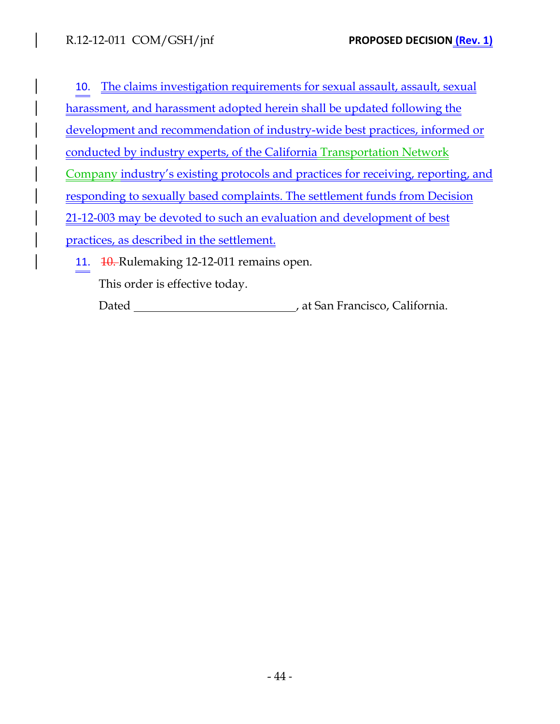R.12-12-011 COM/GSH/jnf **PROPOSED DECISION (Rev. 1)**

10. The claims investigation requirements for sexual assault, assault, sexual harassment, and harassment adopted herein shall be updated following the development and recommendation of industry-wide best practices, informed or conducted by industry experts, of the California Transportation Network Company industry's existing protocols and practices for receiving, reporting, and responding to sexually based complaints. The settlement funds from Decision 21-12-003 may be devoted to such an evaluation and development of best practices, as described in the settlement.

11. <del>10.</del> Rulemaking 12-12-011 remains open.

This order is effective today.

Dated **Material Contract Contract Contract Contract Contract Contract Contract Contract Contract Contract Contract Contract Contract Contract Contract Contract Contract Contract Contract Contract Contract Contract Contract**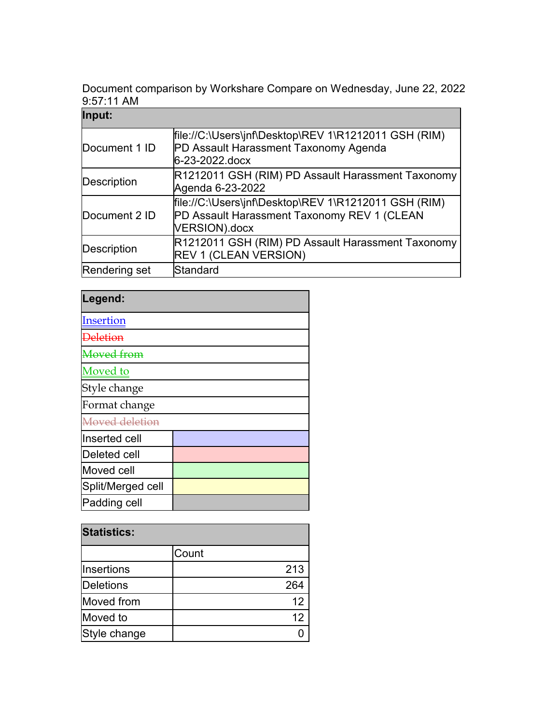Document comparison by Workshare Compare on Wednesday, June 22, 2022 9:57:11 AM

| Input:        |                                                                                                                      |
|---------------|----------------------------------------------------------------------------------------------------------------------|
| Document 1 ID | file://C:\Users\jnf\Desktop\REV 1\R1212011 GSH (RIM)<br>PD Assault Harassment Taxonomy Agenda<br>6-23-2022.docx      |
| Description   | R1212011 GSH (RIM) PD Assault Harassment Taxonomy<br>Agenda 6-23-2022                                                |
| Document 2 ID | file://C:\Users\jnf\Desktop\REV 1\R1212011 GSH (RIM)<br>PD Assault Harassment Taxonomy REV 1 (CLEAN<br>VERSION).docx |
| Description   | R1212011 GSH (RIM) PD Assault Harassment Taxonomy<br><b>REV 1 (CLEAN VERSION)</b>                                    |
| Rendering set | Standard                                                                                                             |

| Legend:           |  |  |
|-------------------|--|--|
| Insertion         |  |  |
| Deletion          |  |  |
| <b>Moved</b> from |  |  |
| Moved to          |  |  |
| Style change      |  |  |
| Format change     |  |  |
| Moved deletion    |  |  |
| Inserted cell     |  |  |
| Deleted cell      |  |  |
| Moved cell        |  |  |
| Split/Merged cell |  |  |
| Padding cell      |  |  |

| <b>Statistics:</b> |       |  |  |
|--------------------|-------|--|--|
|                    | Count |  |  |
| <b>Insertions</b>  | 213   |  |  |
| Deletions          | 264   |  |  |
| Moved from         | 12    |  |  |
| Moved to           | 12    |  |  |
| Style change       |       |  |  |